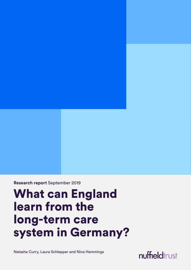**Research report** September 2019

# What can England learn from the long-term care system in Germany?

Natasha Curry, Laura Schlepper and Nina Hemmings

nuffieldtrust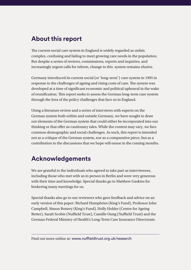### **About this report**

The current social care system in England is widely regarded as unfair, complex, confusing and failing to meet growing care needs in the population. But despite a series of reviews, commissions, reports and inquiries, and increasingly urgent calls for reform, change to this system remains elusive.

Germany introduced its current social (or 'long-term') care system in 1995 in response to the challenges of ageing and rising costs of care. The system was developed at a time of significant economic and political upheaval in the wake of reunification. This report seeks to assess the German long-term care system through the lens of the policy challenges that face us in England.

Using a literature review and a series of interviews with experts on the German system both within and outside Germany, we have sought to draw out elements of the German system that could either be incorporated into our thinking or that offer us cautionary tales. While the context may vary, we face common demographic and social challenges. As such, this report is intended not as a critique of the German system, nor as a comparative piece, but as a contribution to the discussions that we hope will ensue in the coming months.

### **Acknowledgements**

We are grateful to the individuals who agreed to take part as interviewees, including those who met with us in person in Berlin and were very generous with their time and knowledge. Special thanks go to Matthew Gaskins for brokering many meetings for us.

Special thanks also go to our reviewers who gave feedback and advice on an early version of this paper: Richard Humphries (King's Fund), Professor John Campbell, Simon Bottery (King's Fund), Holly Holder (Centre for Ageing Better), Sarah Scobie (Nuffield Trust), Camille Oung (Nuffield Trust) and the German Federal Ministry of Health's Long-Term Care Insurance Directorate.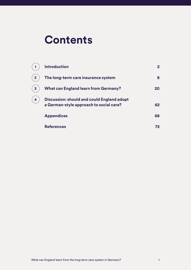## **Contents**

|                | <b>Introduction</b>                                                                   | $\mathbf{2}$ |
|----------------|---------------------------------------------------------------------------------------|--------------|
| $\overline{2}$ | The long-term care insurance system                                                   | 8            |
| 3              | <b>What can England learn from Germany?</b>                                           | 20           |
| 4              | Discussion: should and could England adopt<br>a German-style approach to social care? | 62           |
|                | <b>Appendices</b>                                                                     | 68           |
|                | <b>References</b>                                                                     | 72           |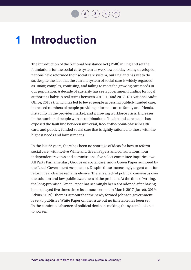**[2](#page-8-1)**  $(3)(4)$  $(3)(4)$  $(3)(4)$  $(3)(4)$  $(3)(4)$ 

### <span id="page-3-1"></span><span id="page-3-0"></span>**Introduction 1**

The introduction of the National Assistance Act (1948) in England set the foundations for the social care system as we know it today. Many developed nations have reformed their social care system, but England has yet to do so, despite the fact that the current system of social care is widely regarded as unfair, complex, confusing, and failing to meet the growing care needs in our population. A decade of austerity has seen government funding for local authorities halve in real terms between 2010–11 and 2017–18 (National Audit Office, 2018a), which has led to fewer people accessing publicly funded care, increased numbers of people providing informal care to family and friends, instability in the provider market, and a growing workforce crisis. Increases in the number of people with a combination of health and care needs has exposed the fault line between universal, free-at-the-point-of-use health care, and publicly funded social care that is tightly rationed to those with the highest needs and lowest means.

In the last 22 years, there has been no shortage of ideas for how to reform social care, with twelve White and Green Papers and consultations; four independent reviews and commissions; five select committee inquiries; two All Party Parliamentary Groups on social care; and a Green Paper authored by the Local Government Association. Despite these increasingly urgent calls for reform, real change remains elusive. There is a lack of political consensus over the solution and low public awareness of the problem. At the time of writing, the long-promised Green Paper has seemingly been abandoned after having been delayed five times since its announcement in March 2017 (Jarrett, 2019; Atkins, 2019). There is rumour that the newly formed Johnson government is set to publish a White Paper on the issue but no timetable has been set. In the continued absence of political decision-making, the system looks set to worsen.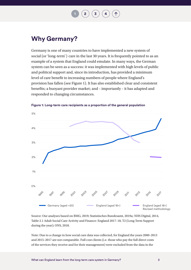**[1](#page-3-1) [2](#page-8-1) [3](#page-20-1) [4](#page-62-1)**

### **Why Germany?**

Germany is one of many countries to have implemented a new system of social (or 'long-term') care in the last 30 years. It is frequently pointed to as an example of a system that England could emulate. In many ways, the German system can be seen as a success: it was implemented with high levels of public and political support and, since its introduction, has provided a minimum level of care benefit to increasing numbers of people where England's provision has fallen (see Figure 1). It has also established clear and consistent benefits; a buoyant provider market; and – importantly – it has adapted and responded to changing circumstances.



**Figure 1: Long-term care recipients as a proportion of the general population**

Source: Our analyses based on BMG, 2019; [Statistisches Bundesamt,](https://www-genesis.destatis.de/genesis/online/link/tabellen/12411*) 2019a; NHS Digital, 2014, Table 2.1 [Adult Social Care Activity and Finance: England 2017–18,](https://digital.nhs.uk/data-and-information/publications/statistical/adult-social-care-activity-and-finance-report/2017-18) T2 (Long Term Support during the year); [ONS, 2018.](https://www.ons.gov.uk/peoplepopulationandcommunity/populationandmigration/populationestimates/datasets/populationestimatesforukenglandandwalesscotlandandnorthernireland)

Note: Due to a change in how social care data was collected, for England the years 2000–2013 and 2015–2017 are not comparable. Full cost clients (i.e. those who pay the full direct costs of the services they receive and for their management) were excluded from the data in the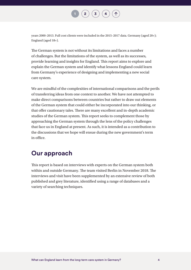

years 2000–2013. Full cost clients were included in the 2015–2017 data. Germany (aged 20+); England (aged 18+).

The German system is not without its limitations and faces a number of challenges. But the limitations of the system, as well as its successes, provide learning and insights for England. This report aims to explore and explain the German system and identify what lessons England could learn from Germany's experience of designing and implementing a new social care system.

We are mindful of the complexities of international comparisons and the perils of transferring ideas from one context to another. We have not attempted to make direct comparisons between countries but rather to draw out elements of the German system that could either be incorporated into our thinking, or that offer cautionary tales. There are many excellent and in-depth academic studies of the German system. This report seeks to complement those by approaching the German system through the lens of the policy challenges that face us in England at present. As such, it is intended as a contribution to the discussions that we hope will ensue during the new government's term in office.

### **Our approach**

This report is based on interviews with experts on the German system both within and outside Germany. The team visited Berlin in November 2018. The interviews and visit have been supplemented by an extensive review of both published and grey literature, identified using a range of databases and a variety of searching techniques.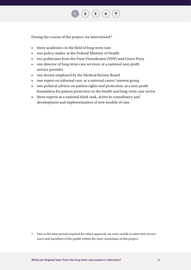

During the course of the project, we interviewed:**1**

- three academics in the field of long-term care
- one policy-maker at the Federal Ministry of Health
- two politicians from the Freie Demokraten (FDP) and Green Party
- one director of long-term care services, at a national non-profit service provider
- one doctor employed by the Medical Review Board
- one expert on informal care, at a national carers' interest group
- one political advisor on patient rights and protection, at a non-profit foundation for patient protection in the health and long-term care sector
- three experts at a national think tank, active in consultancy and development and implementation of new models of care.

1 Due to the time period required for ethics approval, we were unable to interview service users and members of the public within the time constraints of this project.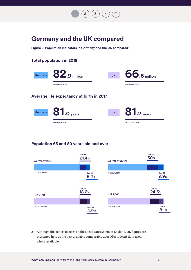

### **Germany and the UK compared**

**Figure 2: Population indicators in Germany and the UK compared2**

#### **Total population in 2018**





#### **Population 65 and 80 years old and over**



2 Although this report focuses on the social care system in England, UK figures are presented here as the best available comparable data. Most recent data used where available.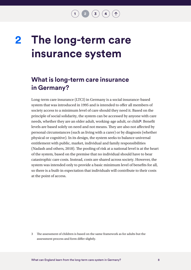## <span id="page-8-1"></span><span id="page-8-0"></span>**The long-term care insurance system 2**

### **What is long-term care insurance in Germany?**

Long-term care insurance (LTCI) in Germany is a social insurance-based system that was introduced in 1995 and is intended to offer all members of society access to a minimum level of care should they need it. Based on the principle of social solidarity, the system can be accessed by anyone with care needs, whether they are an older adult, working-age adult, or child**3**. Benefit levels are based solely on need and not means. They are also not affected by personal circumstances (such as living with a carer) or by diagnosis (whether physical or cognitive). In its design, the system seeks to balance universal entitlement with public, market, individual and family responsibilities (Nadash and others, 2018). The pooling of risk at a national level is at the heart of the system, based on the premise that no individual should have to bear catastrophic care costs. Instead, costs are shared across society. However, the system was intended only to provide a basic minimum level of benefits for all, so there is a built-in expectation that individuals will contribute to their costs at the point of access.

3 The assessment of children is based on the same framework as for adults but the assessment process and form differ slightly.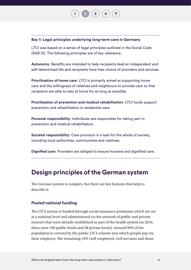### **Box 1: Legal principles underlying long-term care in Germany**

LTCI was based on a series of legal principles outlined in the Social Code (SGB XI). The following principles are of key relevance.

**Autonomy**: Benefits are intended to help recipients lead an independent and self-determined life and recipients have free choice of providers and services.

**[1](#page-3-1) [2](#page-8-1) [3](#page-20-1) [4](#page-62-1)**

**Prioritisation of home care**: LTCI is primarily aimed at supporting home care and the willingness of relatives and neighbours to provide care so that recipients are able to stay at home for as long as possible.

**Prioritisation of prevention and medical rehabilitation**: LTCI funds support prevention and rehabilitation in residential care.

**Personal responsibility**: Individuals are responsible for taking part in prevention and medical rehabilitation.

**Societal responsibility**: Care provision is a task for the whole of society, including local authorities, communities and relatives.

**Dignified care**: Providers are obliged to ensure humane and dignified care.

### **Design principles of the German system**

The German system is complex, but there are key features that help to describe it.

#### **Pooled national funding**

The LTCI system is funded through social insurance premiums which are set at a national level and administered via the network of [public and private](http://www.gbe-bund.de/oowa921-install/servlet/oowa/aw92/dboowasys921.xwdevkit/xwd_init?gbe.isgbetol/xs_start_neu/&p_aid=3&p_aid=93362420&nummer=304&p_sprache=D&p_indsp=-&p_aid=67630518)  [insurers](http://www.gbe-bund.de/oowa921-install/servlet/oowa/aw92/dboowasys921.xwdevkit/xwd_init?gbe.isgbetol/xs_start_neu/&p_aid=3&p_aid=93362420&nummer=304&p_sprache=D&p_indsp=-&p_aid=67630518) that were already established as part of the health system (in 2019, there were 109 public funds and 48 private funds). Around 90% of the population is covered by the public LTCI scheme into which people pay via their employer. The remaining 10% (self-employed, civil servants and those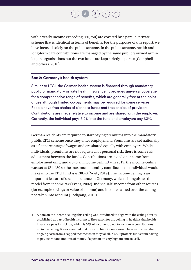$(3)(4)$  $(3)(4)$  $(3)(4)$  $(3)(4)$  $(3)(4)$ 

with a yearly income exceeding  $\epsilon$ 60,750) are covered by a parallel private scheme that is identical in terms of benefits. For the purposes of this report, we have focused solely on the public scheme. In the public scheme, health and long-term care contributions are managed by the same publicly owned arm'slength organisations but the two funds are kept strictly separate (Campbell and others, 2010).

#### **Box 2: Germany's health system**

Similar to LTCI, the German health system is financed through mandatory public or mandatory private health insurance. It provides universal coverage for a comprehensive range of benefits, which are generally free at the point of use although limited co-payments may be required for some services. People have free choice of sickness funds and free choice of providers. Contributions are made relative to income and are shared with the employer. Currently, the individual pays 8.2% into the fund and employers pay 7.3%.

German residents are required to start paying premiums into the mandatory public LTCI scheme once they enter employment. Premiums are set nationally as a flat percentage of wages and are shared equally with employers. While individuals' premiums are not adjusted for personal risk, there is some risk adjustment between the funds. Contributions are levied on income from employment only, and up to an income ceiling**4** – in 2019, the income ceiling was set at €54,450 so the maximum monthly contribution an individual would make into the LTCI fund is  $\epsilon$ 138.40 (Vdek, 2019). The income ceiling is an important feature of social insurance in Germany, which distinguishes the model from income tax (Evans, 2002). Individuals' income from other sources (for example savings or value of a home) and income earned over the ceiling is not taken into account (Rothgang, 2010).

4 A note on the income ceiling: this ceiling was introduced to align with the ceiling already established as part of health insurance. The reason for the ceiling in health is that health insurance pays for sick pay which is 70% of income subject to insurance contributions up to the ceiling. It was assumed that those on high income would be able to cover their ongoing costs from a capped income when they fall ill. Also, it protects funds from having to pay exorbitant amounts of money if a person on very high income falls ill.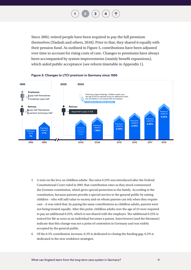$\left( \begin{array}{c} 3 \end{array} \right)$  $\left( \begin{array}{c} 3 \end{array} \right)$  $\left( \begin{array}{c} 3 \end{array} \right)$   $\left( \begin{array}{c} 4 \end{array} \right)$  $\left( \begin{array}{c} 4 \end{array} \right)$  $\left( \begin{array}{c} 4 \end{array} \right)$ 

<span id="page-11-0"></span>Since 2002, retired people have been required to pay the full premium themselves (Nadash and others, 2018). Prior to that, they shared it equally with their pension fund. As outlined in Figure 3, contributions have been adjusted over time to account for rising costs of care. Changes to premiums have always been accompanied by system improvements (mainly benefit expansions), which aided public acceptance (see reform timetable in Appendix 1).



#### **Figure 3: Changes to LTCI premium in Germany since 1995**

- 5 A note on the levy on childless adults: The extra 0.25% was introduced after the Federal Constitutional Court ruled in 2001 that contribution rates as they stood contravened the German constitution, which gives special protection to the family. According to the constitution, because parents provide a special service to the general public by raising children – who will add value to society and on whom parents can rely when they require care – it was ruled that, by paying the same contributions as childless adults, parents were not being treated equally. After this point, childless adults over the age of 23 were required to pay an additional 0.25%, which is not shared with the employer. The additional 0.25% is waived for life as soon as an individual becomes a parent. Interviewees (and the literature) indicate that this change was not a point of contention in Germany and was widely accepted by the general public.
- 6 Of the 0.5% contribution increase, 0.3% is dedicated to closing the funding gap, 0.2% is dedicated to the new workforce strategies.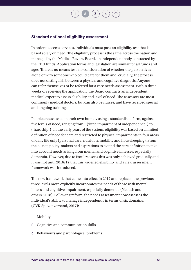**[1](#page-3-1) [2](#page-8-1) [3](#page-20-1) [4](#page-62-1)**

#### **Standard national eligibility assessment**

In order to access services, individuals must pass an eligibility test that is based solely on need. The eligibility process is the same across the nation and managed by the Medical Review Board, an independent body contracted by the LTCI funds. Application forms and legislation are similar for all funds and ages. There is no means test, no consideration of whether the person lives alone or with someone who could care for them and, crucially, the process does not distinguish between a physical and cognitive diagnosis. Anyone can refer themselves or be referred for a care needs assessment. Within three weeks of receiving the application, the Board contracts an independent medical expert to assess eligibility and level of need. The assessors are most commonly medical doctors, but can also be nurses, and have received special and ongoing training.

People are assessed in their own homes, using a standardised form, against five levels of need, ranging from 1 ('little impairment of independence') to 5 ('hardship'). In the early years of the system, eligibility was based on a limited definition of need for care and restricted to physical impairments in four areas of daily life only (personal care, nutrition, mobility and housekeeping). From the outset, policy-makers had aspirations to extend the care definition to take into account needs arising from mental and cognitive illnesses, especially dementia. However, due to fiscal reasons this was only achieved gradually and it was not until 2016/17 that this widened eligibility and a new assessment framework was introduced.

The new framework that came into effect in 2017 and replaced the previous three levels more explicitly incorporates the needs of those with mental illness and cognitive impairment, especially dementia (Nadash and others, 2018). Following reform, the needs assessment now assesses the individual's ability to manage independently in terms of six domains, (GVK-Spitzenverband, 2017):

- 1 Mobility
- 2 Cognitive and communication skills
- 3 Behaviours and psychological problems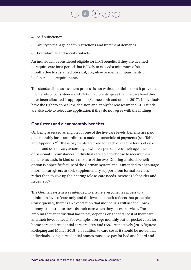- 4 Self-sufficiency
- 5 Ability to manage health restrictions and treatment demands
- 6 Everyday life and social contacts

An individual is considered eligible for LTCI benefits if they are deemed to require care for a period that is likely to exceed a minimum of six months due to sustained physical, cognitive or mental impairments or health-related requirements.

 $\left( 3 \right)$  $\left( 3 \right)$  $\left( 3 \right)$ 

The standardised assessment process is not without criticism, but it provides high levels of consistency and 74% of recipients agree that the care level they have been allocated is appropriate (Schneekloth and others, 2017). Individuals have the right to appeal the decision and apply for reassessment. LTCI funds are also able to reject the application if they do not agree with the findings.

#### **Consistent and clear monthly benefits**

On being assessed as eligible for one of the five care levels, benefits are paid on a monthly basis according to a national schedule of payments (see Table 1 and Appendix 2). These payments are fixed for each of the five levels of care needs and do not vary according to where a person lives, their age, means or personal circumstances. Individuals are able to choose to receive their benefits as cash, in kind or a mixture of the two. Offering a mixed benefit option is a specific feature of the German system and is intended to encourage informal caregivers to seek supplementary support from formal services rather than to give up their caring role as care needs increase (Schneider and Reyes, 2007).

The German system was intended to ensure everyone has access to a minimum level of care only and the level of benefit reflects that principle. Consequently, there is an expectation that individuals will use their own money to contribute towards their care when they access services. The amount that an individual has to pay depends on the total cost of their care and their level of need. For example, average monthly out-of-pocket costs for home care and residential care are €269 and €587, respectively (2015 figures; Rothgang and Müller, 2018). In addition to care costs, it should be noted that individuals living in residential homes must also pay for bed and board and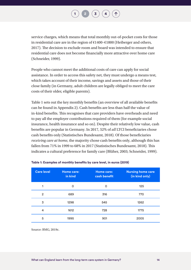$(3)(4)$  $(3)(4)$  $(3)(4)$  $(3)(4)$  $(3)(4)$ 

service charges, which means that total monthly out-of-pocket costs for those in residential care are in the region of €1400–€1800 (Heiberger and others, 2017). The decision to exclude room and board was intended to ensure that residential care does not become financially more attractive over home care (Schneider, 1999).

People who cannot meet the additional costs of care can apply for social assistance. In order to access this safety net, they must undergo a means test, which takes account of their income, savings and assets and those of their close family (in Germany, adult children are legally obliged to meet the care costs of their older, eligible parents).

Table 1 sets out the key monthly benefits (an overview of all available benefits can be found in Appendix 2). Cash benefits are less than half the value of in-kind benefits. This recognises that care providers have overheads and need to pay all the employer contributions required of them (for example social insurance, health insurance and so on). Despite their relatively low value, cash benefits are popular in Germany. In 2017, 52% of *all* LTCI beneficiaries chose cash benefits only [\(Statistisches Bundesamt, 2018\)](file:///\\nuffieldtrust.org.uk\DFS\Company\Policy\Projects\607090%20-%20Social%20care%20in%20Germany\Literature%20scoping\Statistics\Informal%20caregiving%20estimates.xlsx). Of those beneficiaries *receiving care at home*, the majority chose cash benefits only, although this has fallen from 71% in 1999 to 68% in 2017 ([Statistisches Bundesamt, 2018\).](file:///\\nuffieldtrust.org.uk\DFS\Company\Policy\Projects\607090%20-%20Social%20care%20in%20Germany\Literature%20scoping\Statistics\Informal%20caregiving%20estimates.xlsx) This indicates a cultural preference for family care (Blüher, 2003; Schneider, 1999).

| <b>Care level</b> | <b>Home care:</b><br>in kind | <b>Home care:</b><br>cash benefit | <b>Nursing home care</b><br>(in kind only) |
|-------------------|------------------------------|-----------------------------------|--------------------------------------------|
| 1                 | 0                            | $\Omega$                          | 125                                        |
| $\overline{2}$    | 689                          | 316                               | 770                                        |
| 3                 | 1298                         | 545                               | 1262                                       |
| 4                 | 1612                         | 728                               | 1775                                       |
| 5                 | 1995                         | 901                               | 2005                                       |

#### **Table 1: Examples of monthly benefits by care level, in euros (2019)**

Source: BMG, 2019c.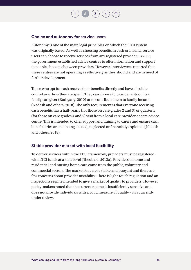$(3)(4)$  $(3)(4)$  $(3)(4)$  $(3)(4)$  $(3)(4)$ 

#### **Choice and autonomy for service users**

Autonomy is one of the main legal principles on which the LTCI system was originally based. As well as choosing benefits in cash or in kind, service users can choose to receive services from any registered provider. In 2008, the government established advice centres to offer information and support to people choosing between providers. However, interviewees reported that these centres are not operating as effectively as they should and are in need of further development.

Those who opt for cash receive their benefits directly and have absolute control over how they are spent. They can choose to pass benefits on to a family caregiver (Rothgang, 2010) or to contribute them to family income (Nadash and others, 2018). The only requirement is that everyone receiving cash benefits has a half-yearly (for those on care grades 2 and 3) or quarterly (for those on care grades 4 and 5) visit from a local care provider or care advice centre. This is intended to offer support and training to carers and ensure cash beneficiaries are not being abused, neglected or financially exploited (Nadash and others, 2018).

#### **Stable provider market with local flexibility**

To deliver services within the LTCI framework, providers must be registered with LTCI funds at a state level (Theobald, 2012a). Providers of home and residential and nursing home care come from the public, voluntary and commercial sectors. The market for care is stable and buoyant and there are few concerns about provider instability. There is light-touch regulation and an inspections regime intended to give a marker of quality to providers. However, policy-makers noted that the current regime is insufficiently sensitive and does not provide individuals with a good measure of quality – it is currently under review.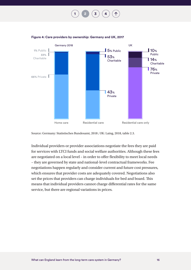**[1](#page-3-1) [2](#page-8-1) [3](#page-20-1) [4](#page-62-1)**

Germany 2018 Home care **Residential care** Residential care Residential care only UK 5% Public  $153%$ Charitable  $\blacksquare$  43% Private  $10%$ Public  $\blacksquare$  14% Charitable  $\overline{\phantom{a}}$  76% Private **1%** Public **33%** Charitable **66%** Private

<span id="page-16-0"></span>

Source: Germany: Statistisches Bundesamt, 2018 ; UK: Laing, 2018, table 2.3.

Individual providers or provider associations negotiate the fees they are paid for services with LTCI funds and social welfare authorities. Although these fees are negotiated on a local level – in order to offer flexibility to meet local needs – they are governed by state and national-level contractual frameworks. Fee negotiations happen regularly and consider current and future cost pressures, which ensures that provider costs are adequately covered. Negotiations also set the prices that providers can charge individuals for bed and board. This means that individual providers cannot charge differential rates for the same service, but there are regional variations in prices.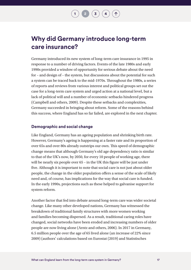

### **Why did Germany introduce long-term care insurance?**

Germany introduced its new system of long-term care insurance in 1995 in response to a number of driving factors. Events of the late 1980s and early 1990s provided a window of opportunity for serious debate about the need for – and design of – the system, but discussions about the potential for such a system can be traced back to the mid-1970s. Throughout the 1980s, a series of reports and reviews from various interest and political groups set out the case for a long-term care system and urged action at a national level, but a lack of political will and a number of economic setbacks hindered progress (Campbell and others, 2009). Despite these setbacks and complexities, Germany succeeded in bringing about reform. Some of the reasons behind this success, where England has so far failed, are explored in the next chapter.

#### **Demographic and social change**

Like England, Germany has an ageing population and shrinking birth rate. However, Germany's ageing is happening at a faster rate and its proportion of over 65s and over 80s already outstrips our own. This speed of demographic change means that although Germany's old age dependency ratio is similar to that of the UK's now, by 2050, for every 10 people of working age, there will be nearly six people over 65 – in the UK this figure will be just under five. Although it is important to note that social care is not just about older people, the change in the older population offers a sense of the scale of likely need and, of course, has implications for the way that social care is funded. In the early 1990s, projections such as these helped to galvanise support for system reform.

Another factor that fed into debate around long-term care was wider societal change. Like many other developed nations, Germany has witnessed the breakdown of traditional family structures with more women working and families becoming dispersed. As a result, traditional caring roles have changed, social networks have been eroded and increasing numbers of older people are now living alone (Arntz and others, 2006). In 2017 in Germany, 6.5 million people over the age of 65 lived alone (an increase of 22% since 2009) (authors' calculations based on Eurostat (2019) and Statistisches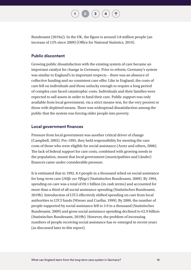

Bundesamt (2019a)). In the UK, the figure is around 3.8 million people (an increase of 12% since 2009) (Office for National Statistics, 2019).

#### **Public discontent**

Growing public dissatisfaction with the existing system of care became an important catalyst for change in Germany. Prior to reform, Germany's system was similar to England's in important respects – there was an absence of collective funding and no consistent care offer. Like in England, the costs of care fell on individuals and those unlucky enough to require a long period of complex care faced catastrophic costs. Individuals and their families were expected to sell assets in order to fund their care. Public support was only available from local government, via a strict means-test, for the very poorest or those with depleted means. There was widespread dissatisfaction among the public that the system was forcing older people into poverty.

#### **Local government finances**

Pressure from local government was another critical driver of change (Campbell, 2002). Pre-1995, they held responsibility for meeting the care costs of those who were eligible for social assistance (Arntz and others, 2006). The lack of federal support for care costs, combined with growing needs in the population, meant that local government (municipalities and Länder) finances came under considerable pressure.

It is estimated that in 1992, 8.4 people in a thousand relied on social assistance for long-term care (*Hilfe zur Pflege*) ([Statistisches](https://www.destatis.de/GPStatistik/servlets/MCRFileNodeServlet/DEHeft_derivate_00014847/5221020077004.pdf;jsessionid=E74A30025D2C5A778899E41B0C39471D) Bundesamt, 2009). By 1994, spending on care was a total of  $\epsilon$ 9.1 billion (in cash terms) and accounted for more than a third of all social assistance spending (Statistisches Bundesamt, 2019b). Introduction of LTCI effectively shifted spending on care from local authorities to LTCI funds (Wiener and Cuellar, 1999). By 2000, the number of people supported by social assistance fell to 3.9 in a thousand [\(Statistisches](https://www.destatis.de/GPStatistik/servlets/MCRFileNodeServlet/DEHeft_derivate_00014847/5221020077004.pdf;jsessionid=E74A30025D2C5A778899E41B0C39471D) Bundesamt, 2009) and gross social assistance spending declined to  $\epsilon$ 2.9 billion (Statistisches Bundesamt, 2019b). However, the problem of increasing numbers of people receiving social assistance has re-emerged in recent years (as discussed later in this report).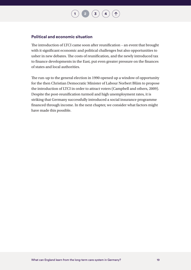$(3)(4)$  $(3)(4)$  $(3)(4)$  $(3)(4)$  $(3)(4)$ 

#### **Political and economic situation**

The introduction of LTCI came soon after reunification – an event that brought with it significant economic and political challenges but also opportunities to usher in new debates. The costs of reunification, and the newly introduced tax to finance developments in the East, put even greater pressure on the finances of states and local authorities.

The run-up to the general election in 1990 opened up a window of opportunity for the then Christian Democratic Minister of Labour Norbert Blüm to propose the introduction of LTCI in order to attract voters (Campbell and others, 2009). Despite the post-reunification turmoil and high unemployment rates, it is striking that Germany successfully introduced a social insurance programme financed through income. In the next chapter, we consider what factors might have made this possible.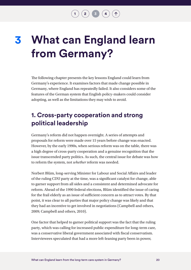**[1](#page-3-1) [2](#page-8-1) [3](#page-20-1) [4](#page-62-1)**

## <span id="page-20-1"></span><span id="page-20-0"></span>**What can England learn from Germany? 3**

The following chapter presents the key lessons England could learn from Germany's experience. It examines factors that made change possible in Germany, where England has repeatedly failed. It also considers some of the features of the German system that English policy-makers could consider adopting, as well as the limitations they may wish to avoid.

### **1. Cross-party cooperation and strong political leadership**

Germany's reform did not happen overnight. A series of attempts and proposals for reform were made over 15 years before change was enacted. However, by the early 1990s, when serious reform was on the table, there was a high degree of cross-party cooperation and a genuine recognition that the issue transcended party politics. As such, the central issue for debate was how to reform the system, not *whether* reform was needed.

Norbert Blüm, long-serving Minister for Labour and Social Affairs and leader of the ruling CDU party at the time, was a significant catalyst for change, able to garner support from all sides and a consistent and determined advocate for reform. Ahead of the 1990 federal elections, Blüm identified the issue of caring for the frail elderly as an issue of sufficient concern as to attract votes. By that point, it was clear to all parties that major policy change was likely and that they had an incentive to get involved in negotiations (Campbell and others, 2009; Campbell and others, 2010).

One factor that helped to garner political support was the fact that the ruling party, which was calling for increased public expenditure for long-term care, was a conservative liberal government associated with fiscal conservatism. Interviewees speculated that had a more left-leaning party been in power,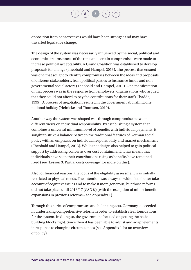

opposition from conservatives would have been stronger and may have thwarted legislative change.

The design of the system was necessarily influenced by the social, political and economic circumstances of the time and certain compromises were made to increase political acceptability. A Grand Coalition was established to develop proposals for change (Theobald and Hampel, 2013). The process that ensued was one that sought to identify compromises between the ideas and proposals of different stakeholders, from political parties to insurance funds and nongovernmental social actors (Theobald and Hampel, 2013). One manifestation of that process was in the response from employers' organisations who argued that they could not afford to pay the contributions for their staff (Chadda, 1995). A process of negotiation resulted in the government abolishing one national holiday (Heinicke and Thomsen, 2010).

Another way the system was shaped was through compromise between different views on individual responsibility. By establishing a system that combines a universal minimum level of benefits with individual payments, it sought to strike a balance between the traditional features of German social policy with an emphasis on individual responsibility and market mechanisms (Theobald and Hampel, 2013). While that design also helped to gain political support by addressing concerns over cost containment, it has meant that individuals have seen their contributions rising as benefits have remained fixed (see 'Lesson 3: Partial costs coverage' for more on this).

Also for financial reasons, the focus of the eligibility assessment was initially restricted to physical needs. The intention was always to widen it to better take account of cognitive issues and to make it more generous, but those reforms did not take place until 2016/17 (*PSG II*) (with the exception of minor benefit expansions in previous reforms – see Appendix 1).

Through this series of compromises and balancing acts, Germany succeeded in undertaking comprehensive reform in order to establish clear foundations for the system. In doing so, the government focused on getting the basic building blocks right. Since then it has been able to adjust and adapt elements in response to changing circumstances (see Appendix 1 for an overview of policy).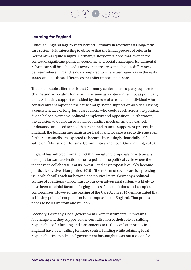$\overline{\phantom{a}}$  **[2](#page-8-1)**  $\overline{\phantom{a}}$  **[3](#page-20-1)** 

#### **Learning for England**

Although England lags 25 years behind Germany in reforming its long-term care system, it is interesting to observe that the initial process of reform in Germany was quite lengthy. Germany's story offers hope that, even in the context of significant political, economic and social challenges, fundamental reform can still be achieved. However, there are some obvious differences between where England is now compared to where Germany was in the early 1990s, and it is these differences that offer important lessons.

The first notable difference is that Germany achieved cross-party support for change and advocating for reform was seen as a vote-winner, not as politically toxic. Achieving support was aided by the role of a respected individual who consistently championed the cause and garnered support on all sides. Having a consistent face of long-term care reform who could reach across the political divide helped overcome political complexity and opposition. Furthermore, the decision to opt for an established funding mechanism that was well understood and used for health care helped to unite support. At present, in England, the funding mechanism for health and for care is set to diverge even further as councils are expected to become increasingly financially selfsufficient (Ministry of Housing, Communities and Local Government, 2018).

England has suffered from the fact that social care proposals have typically been put forward at election time – a point in the political cycle where the incentive to collaborate is at its lowest – and any proposals quickly become politically divisive (Humphries, 2019). The reform of social care is a pressing issue which will reach far beyond one political term. Germany's political culture of coalitions – in contrast to our own adversarial system – is likely to have been a helpful factor in forging successful negotiations and complex compromises. However, the passing of the Care Act in 2014 demonstrated that achieving political cooperation is not impossible in England. That process needs to be learnt from and built on.

Secondly, Germany's local governments were instrumental in pressing for change and they supported the centralisation of their role by shifting responsibility for funding and assessments to LTCI. Local authorities in England have been calling for more central funding while retaining local responsibilities. While local government has sought to set out a vision for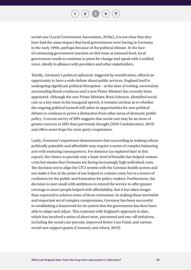$\begin{pmatrix} 2 \end{pmatrix}$  $\begin{pmatrix} 2 \end{pmatrix}$  $\begin{pmatrix} 2 \end{pmatrix}$   $\begin{pmatrix} 3 \end{pmatrix}$  $\begin{pmatrix} 3 \end{pmatrix}$  $\begin{pmatrix} 3 \end{pmatrix}$   $\begin{pmatrix} 4 \end{pmatrix}$  $\begin{pmatrix} 4 \end{pmatrix}$  $\begin{pmatrix} 4 \end{pmatrix}$ 

social care (Local Government Association, 2018a), it is not clear that they have had the same impact that local governments were having in Germany in the early 1990s, perhaps because of the political climate. In the face of continuing government inaction on this issue at national level, local government needs to continue to press for change and speak with a unified voice, ideally in alliance with providers and other stakeholders.

Thirdly, Germany's political upheaval, triggered by reunification, offered an opportunity to have a wide debate about public services. England itself is undergoing significant political disruption – at the time of writing, uncertainty surrounding Brexit continues and a new Prime Minister has recently been appointed. Although the new Prime Minister, Boris Johnson, identified social care as a key issue in his inaugural speech, it remains unclear as to whether the ongoing political turmoil will usher in opportunities for new political debate or continue to prove a distraction from other areas of domestic public policy. A recent survey of MPs suggests that social care may be an issue of greater concern to MPs than previously thought (NHS Confederation, 2019) and offers some hope for cross-party cooperation.

Lastly, Germany's experience demonstrates that succeeding in making reform politically palatable and affordable may require a series of complex balancing acts with enduring consequences. For instance (as explored later in this report), the choice to provide only a basic level of benefits has helped contain costs but means that Germans are facing increasingly high individual costs. The decision not to align the LTCI system with the German health system and not make it free at the point of use helped to contain costs, but is a source of confusion for the public and frustration for policy-makers. Furthermore, the decision to start small with ambitions to extend the service to offer greater coverage to more people helped with affordability, but it has taken longer than expected to achieve some of those extensions. In making these inevitable and important set of complex compromises, Germany has been successful in establishing a framework for its system that the government has then been able to adapt and adjust. This contrasts with England's approach to date, which has involved a series of short-term, piecemeal and one-off initiatives, including the social care precept, improved Better Care Fund, and various social care support grants (Cromarty and others, 2019).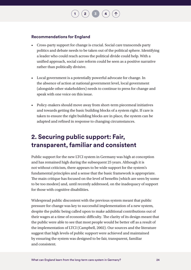#### **Recommendations for England**

• Cross-party support for change is crucial. Social care transcends party politics and debate needs to be taken out of the political sphere. Identifying a leader who could reach across the political divide could help. With a unified approach, social care reform could be seen as a positive narrative rather than politically divisive.

**[2](#page-8-1)**  $\binom{3}{4}$  $\binom{3}{4}$  $\binom{3}{4}$  $\binom{3}{4}$  $\binom{3}{4}$ 

- Local government is a potentially powerful advocate for change. In the absence of action at national government level, local government (alongside other stakeholders) needs to continue to press for change and speak with one voice on this issue.
- Policy-makers should move away from short-term piecemeal initiatives and towards getting the basic building blocks of a system right. If care is taken to ensure the right building blocks are in place, the system can be adapted and refined in response to changing circumstances.

### **2. Securing public support: Fair, transparent, familiar and consistent**

Public support for the new LTCI system in Germany was high at conception and has remained high during the subsequent 25 years. Although it is not without criticism, there appears to be wide support for the system's fundamental principles and a sense that the basic framework is appropriate. The main critique has focused on the level of benefits (which are seen by some to be too modest) and, until recently addressed, on the inadequacy of support for those with cognitive disabilities.

Widespread public discontent with the previous system meant that public pressure for change was key to successful implementation of a new system, despite the public being called upon to make additional contributions out of their wages at a time of economic difficulty. The clarity of its design meant that the public were able to see that most people would be better off as a result of the implementation of LTCI (Campbell, 2002). Our sources and the literature suggest that high levels of public support were achieved and maintained by ensuring the system was designed to be fair, transparent, familiar and consistent.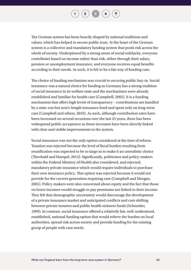$\begin{pmatrix} 2 \end{pmatrix}$  $\begin{pmatrix} 2 \end{pmatrix}$  $\begin{pmatrix} 2 \end{pmatrix}$   $\begin{pmatrix} 3 \end{pmatrix}$  $\begin{pmatrix} 3 \end{pmatrix}$  $\begin{pmatrix} 3 \end{pmatrix}$   $\begin{pmatrix} 4 \end{pmatrix}$  $\begin{pmatrix} 4 \end{pmatrix}$  $\begin{pmatrix} 4 \end{pmatrix}$ 

The German system has been heavily shaped by national traditions and values, which has helped to secure public trust. At the heart of the German system is a collective and mandatory funding system that pools risk across the whole of society. Underpinned by a strong sense of social solidarity, everyone contributes based on income rather than risk, either through their salary, pension or unemployment insurance, and everyone receives equal benefits according to their needs. As such, it is felt to be a fair way of funding care.

The choice of funding mechanism was crucial to securing public buy-in. Social insurance was a natural choice for funding as Germany has a strong tradition of social insurance in its welfare state and the mechanisms were already established and familiar for health care (Campbell, 2002). It is a funding mechanism that offers high levels of transparency – contributions are handled by a state-run but arm's-length insurance fund and spent only on long-term care (Campbell and others, 2010). As such, although contribution rates have been increased on several occasions over the last 25 years, there has been widespread public acceptance as these increases have been directly linked with clear and visible improvements to the system.

Social insurance was not the only option considered at the time of reform. Taxation was rejected because the level of fiscal burden resulting from reunification was expected to be so large as to make it an unrealistic choice (Theobald and Hampel, 2013). Significantly, politicians and policy-makers within the Federal Ministry of Health also considered, and rejected, mandatory private insurance which would require individuals to purchase their own insurance policy. This option was rejected because it would not provide for the current generation requiring care (Campbell and Morgan, 2005). Policy-makers were also concerned about equity and the fact that those on lower incomes would struggle to pay premiums not linked to their income. They felt that demographic uncertainty would discourage the development of a private insurance market and anticipated conflicts and cost-shifting between private insurers and public health sickness funds (Schneider, 1999). In contrast, social insurance offered a relatively fair, well-understood, established, national funding option that would relieve the burden on local authorities, spread risk across society and provide funding for the existing group of people with care needs.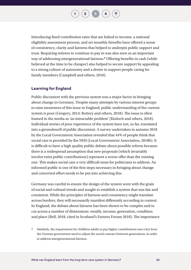Introducing fixed contribution rates that are linked to income, a national eligibility assessment process, and set monthly benefits have offered a sense of consistency, clarity and fairness that helped to underpin public support and trust. Requiring retirees to continue to pay in was also seen as an important way of addressing intergenerational fairness.**7** Offering benefits in cash (while believed at the time to be cheaper) also helped to secure support by appealing to a strong culture of autonomy and a desire to support people caring for family members (Campbell and others, 2010).

#### **Learning for England**

Public discontent with the previous system was a major factor in bringing about change in Germany. Despite many attempts by various interest groups to raise awareness of this issue in England, public understanding of the current system is poor (Gregory, 2014; [Bottery and others, 2018\)](https://www.kingsfund.org.uk/sites/default/files/2018-05/A-fork-in-the-road-next-steps-for-social-care-funding-reform-May-2018.pdf). The issue is often framed in the media as 'an intractable problem' ([Kinloch and others, 2018\).](https://socialcarefuture.blog/2018/06/22/a-crisis-threatening-the-uk-how-newspapers-talk-about-social-care/) Individual stories of poor experience of the system have not, so far, translated into a groundswell of public discontent. A survey undertaken in autumn 2018 by the Local Government Association revealed that 44% of people think that social care is provided by the NHS (Local Government Association, 2018b). It is difficult to have a high quality public debate about possible reform because there is a widespread assumption that new proposals (which invariably involve extra public contributions) represent a worse offer than the existing one. This makes social care a very difficult issue for politicians to address. An informed public is one of the first steps necessary in bringing about change and concerted effort needs to be put into achieving this.

Germany was careful to ensure the design of the system went with the grain of social and cultural trends and sought to establish a system that was fair and consistent. While the principles of fairness and consistency might translate across borders, they will necessarily manifest differently according to context. In England, the debate about fairness has been shown to be complex and to cut across a number of dimensions: wealth, income, generation, condition and place (Bell, 2018, cited in Scotland's Futures Forum 2018). The importance

7 Similarly, the requirement for childless adults to pay higher contributions was a key lever the German government used to adjust the social contract between generations, in order to address intergenerational fairness.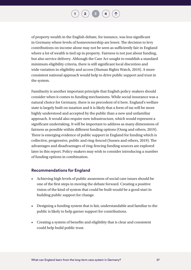of property wealth in the English debate, for instance, was less significant in Germany where levels of homeownership are lower. The decision to levy contributions on income alone may not be seen as sufficiently fair in England where a lot of wealth is tied up in property. Fairness is not just about funding, but also service delivery. Although the Care Act sought to establish a standard minimum eligibility criteria, there is still significant local discretion and wide variation in eligibility and access (Human Rights Watch, 2019). A more consistent national approach would help to drive public support and trust in the system.

Familiarity is another important principle that English policy-makers should consider when it comes to funding mechanisms. While social insurance was a natural choice for Germany, there is no precedent of it here. England's welfare state is largely built on taxation and it is likely that a form of tax will be more highly understood and accepted by the public than a new and unfamiliar approach. It would also require new infrastructure, which would represent a significant undertaking. It will be important to address as many dimensions of fairness as possible within different funding options (Oung and others, 2019). There is emerging evidence of public support in England for funding which is collective, progressive, public and ring-fenced (Sussex and others, 2019). The advantages and disadvantages of ring-fencing funding sources are explored later in this report. Policy-makers may wish to consider introducing a number of funding options in combination.

#### **Recommendations for England**

- Achieving high levels of public awareness of social care issues should be one of the first steps in moving the debate forward. Creating a positive vision of the kind of system that could be built would be a good start in building public support for change.
- Designing a funding system that is fair, understandable and familiar to the public is likely to help garner support for contributions.
- Creating a system of benefits and eligibility that is clear and consistent could help build public trust.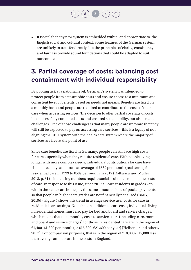• It is vital that any new system is embedded within, and appropriate to, the English social and cultural context. Some features of the German system are unlikely to transfer directly, but the principles of clarity, consistency and fairness provide sound foundations that could be adapted to suit our context.

### **3. Partial coverage of costs: balancing cost containment with individual responsibility**

By pooling risk at a national level, Germany's system was intended to protect people from catastrophic costs and ensure access to a minimum and consistent level of benefits based on needs not means. Benefits are fixed on a monthly basis and people are required to contribute to the costs of their care when accessing services. The decision to offer partial coverage of costs has successfully contained costs and ensured sustainability, but also created challenges. One of those challenges is that many people are unaware that they will still be expected to pay on accessing care services – this is a legacy of not aligning the LTCI system with the health care system where the majority of services are free at the point of use.

Since care benefits are fixed in Germany, people can still face high costs for care, especially when they require residential care. With people living longer with more complex needs, individuals' contributions for care have risen in recent years – from an average of €359 per month (real terms) for residential care in 1999 to €587 per month in 2017 (Rothgang and Müller 2018, p. 31) – increasing numbers require social assistance to meet the costs of care. In response to this issue, since 2017 all care residents in grades 2 to 5 within the same care home pay the same amount of out-of-pocket payments so that people in higher care grades are not financially penalised (BMG, 2019d). Figure 5 shows this trend in average service user costs for care in residential care settings. Note that, in addition to care costs, individuals living in residential homes must also pay for bed and board and service charges, which means that total monthly costs to service users (including care, room and board and service charges) for those in residential care are in the region of €1,400–€1,800 per month (or €16,800–€21,600 per year) (Heiberger and others, 2017). For comparison purposes, that is in the region of £10,000–£15,000 less than average annual care home costs in England.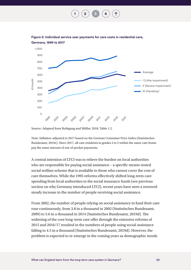**[1](#page-3-1) [2](#page-8-1) [3](#page-20-1) [4](#page-62-1)**





Source: Adapted from Rothgang and Müller, 2018, Table 1.2.

Note: Inflation-adjusted to 2017 based on the German Consumer Price Index (Statistisches Bundesamt, 2019c). Since 2017, all care residents in grades 2 to 5 within the same care home pay the same amount of out-of-pocket payments.

A central intention of LTCI was to relieve the burden on local authorities who are responsible for paying social assistance – a specific means-tested social welfare scheme that is available to those who cannot cover the cost of care themselves. While the 1995 reforms effectively shifted long-term care spending from local authorities to the social insurance funds (see previous section on why Germany introduced LTCI), recent years have seen a renewed steady increase in the number of people receiving social assistance.

From 2002, the number of people relying on social assistance to fund their care rose continuously, from 3.8 in a thousand in 2002 ([Statistisches](https://www.destatis.de/GPStatistik/servlets/MCRFileNodeServlet/DEHeft_derivate_00014847/5221020077004.pdf;jsessionid=E74A30025D2C5A778899E41B0C39471D) Bundesamt, 2009) to 5.6 in a thousand in 2014 (Statistisches Bundesamt, 2019d). The widening of the core long-term care offer through the extensive reforms of 2015 and 2016/17 resulted in the numbers of people using social assistance falling to 4.5 in a thousand [\(Statistisches](https://www.destatis.de/GPStatistik/servlets/MCRFileNodeServlet/DEHeft_derivate_00014847/5221020077004.pdf;jsessionid=E74A30025D2C5A778899E41B0C39471D) Bundesamt, 2019d). However, the problem is expected to re-emerge in the coming years as demographic trends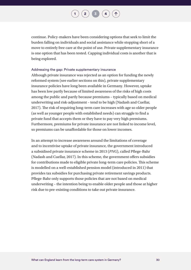$\begin{pmatrix} 2 \end{pmatrix}$  $\begin{pmatrix} 2 \end{pmatrix}$  $\begin{pmatrix} 2 \end{pmatrix}$   $\begin{pmatrix} 3 \end{pmatrix}$  $\begin{pmatrix} 3 \end{pmatrix}$  $\begin{pmatrix} 3 \end{pmatrix}$   $\begin{pmatrix} 4 \end{pmatrix}$  $\begin{pmatrix} 4 \end{pmatrix}$  $\begin{pmatrix} 4 \end{pmatrix}$ 

continue. Policy-makers have been considering options that seek to limit the burden falling on individuals and social assistance while stopping short of a move to entirely free care at the point of use. Private supplementary insurance is one option that has been tested. Capping individual costs is another that is being explored.

#### Addressing the gap: Private supplementary insurance

Although private insurance was rejected as an option for funding the newly reformed system (see earlier sections on this), private supplementary insurance policies have long been available in Germany. However, uptake has been low partly because of limited awareness of the risks of high costs among the public and partly because premiums – typically based on medical underwriting and risk-adjustment – tend to be high (Nadash and Cuellar, 2017). The risk of requiring long-term care increases with age so older people (as well as younger people with established needs) can struggle to find a private fund that accepts them or they have to pay very high premiums. Furthermore, premiums for private insurance are not linked to income level, so premiums can be unaffordable for those on lower incomes.

In an attempt to increase awareness around the limitations of coverage and to incentivise uptake of private insurance, the government introduced a subsidised private insurance scheme in 2013 (*PNG*), called Pflege-Bahr (Nadash and Cuellar, 2017). In this scheme, the government offers subsidies for contributions made to eligible private long-term care policies. This scheme is modelled on a well-established pension model (introduced in 2011) that provides tax subsidies for purchasing private retirement savings products. Pflege-Bahr only supports those policies that are not based on medical underwriting – the intention being to enable older people and those at higher risk due to pre-existing conditions to take out private insurance.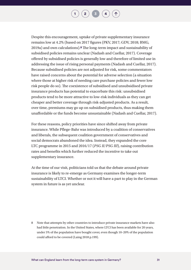$\begin{pmatrix} 2 \end{pmatrix}$  $\begin{pmatrix} 2 \end{pmatrix}$  $\begin{pmatrix} 2 \end{pmatrix}$   $\begin{pmatrix} 3 \end{pmatrix}$  $\begin{pmatrix} 3 \end{pmatrix}$  $\begin{pmatrix} 3 \end{pmatrix}$   $\begin{pmatrix} 4 \end{pmatrix}$  $\begin{pmatrix} 4 \end{pmatrix}$  $\begin{pmatrix} 4 \end{pmatrix}$ 

Despite this encouragement, uptake of private supplementary insurance remains low at 4.2% (based on 2017 figures (PKV, 2017; GDV, 2018; BMG, 2019a) and own calculations).**8** The long-term impact and sustainability of subsidised policies remains unclear (Nadash and Cuellar, 2017). Coverage offered by subsidised policies is generally low and therefore of limited use in addressing the issue of rising personal payments (Nadash and Cuellar, 2017). Because subsidised policies are not adjusted for risk, some commentators have raised concerns about the potential for adverse selection (a situation where those at higher risk of needing care purchase policies and fewer low risk people do so). The coexistence of subsidised and unsubsidised private insurance products has potential to exacerbate this risk: unsubsidised products tend to be more attractive to low-risk individuals as they can get cheaper and better coverage through risk-adjusted products. As a result, over time, premiums may go up on subsidised products, thus making them unaffordable or the funds become unsustainable (Nadash and Cuellar, 2017).

For these reasons, policy priorities have since shifted away from private insurance. While Pflege-Bahr was introduced by a coalition of conservatives and liberals, the subsequent coalition government of conservatives and social democrats abandoned the idea. Instead, they expanded the core LTC programme in 2015 and 2016/17 (*PSG II/PSG III*), raising contribution rates and benefits which further reduced the incentive to take out supplementary insurance.

At the time of our visit, politicians told us that the debate around private insurance is likely to re-emerge as Germany examines the longer-term sustainability of LTCI. Whether or not it will have a part to play in the German system in future is as yet unclear.

8 Note that attempts by other countries to introduce private insurance markets have also had little penetration. In the United States, where LTCI has been available for 20 years, under 5% of the population have bought cover, even though 10–20% of the population could afford to be covered (Laing 2018 p.199).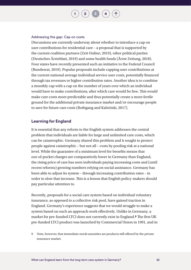#### Addressing the gap: Cap on costs

Discussions are currently underway about whether to introduce a cap on user contributions for residential care – a proposal that is supported by the current coalition partners (Zeit Online, 2019), other political parties (Deutsches Ärzteblatt, 2019) and some health funds (Ärzte Zeitung, 2018). Four states have recently presented such an initiative to the Federal Council (Bundesrat, 2019). Popular proposals include capping user contributions at the current national average individual service user costs, potentially financed through tax revenues or higher contribution rates. Another idea is to combine a monthly cap with a cap on the number of years over which an individual would have to make contributions, after which care would be free. This would make care costs more predictable and thus potentially create a more fertile ground for the additional private insurance market and/or encourage people to save for future care costs (Rothgang and Kalwitzki, 2017).

#### **Learning for England**

It is essential that any reform to the English system addresses the central problem that individuals are liable for large and unlimited care costs, which can be catastrophic. Germany shared this problem and it sought to protect people against catastrophic – but not all – costs by pooling risk at a national level. While the guarantee of a minimum level for benefits means that out-of-pocket charges are comparatively lower in Germany than England, the rising price of care has seen individuals paying increasing costs and (until recent reforms) growing numbers relying on social assistance. Germany has been able to adjust its system – through increasing contribution rates – in order to slow that increase. This is a lesson that English policy-makers should pay particular attention to.

Recently, proposals for a social care system based on individual voluntary insurance, as opposed to a collective risk pool, have gained traction in England. Germany's experience suggests that we would struggle to make a system based on such an approach work effectively. Unlike in Germany, a market for pre-funded LTCI does not currently exist in England.**9** The first UK pre-funded LTCI product was launched by Commercial Union in 1991, and in

<sup>9</sup> Note, however, that immediate needs annuities are products still offered by the private insurance market.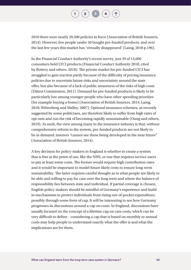$\begin{pmatrix} 2 \end{pmatrix}$  $\begin{pmatrix} 2 \end{pmatrix}$  $\begin{pmatrix} 2 \end{pmatrix}$   $\begin{pmatrix} 3 \end{pmatrix}$  $\begin{pmatrix} 3 \end{pmatrix}$  $\begin{pmatrix} 3 \end{pmatrix}$   $\begin{pmatrix} 4 \end{pmatrix}$  $\begin{pmatrix} 4 \end{pmatrix}$  $\begin{pmatrix} 4 \end{pmatrix}$ 

2010 there were nearly 29,500 policies in force [\(Association of British Insurers,](https://www.abi.org.uk/globalassets/sitecore/files/documents/publications/public/2014/social-care/developing-products-for-social-care-report.pdf)  [2014\).](https://www.abi.org.uk/globalassets/sitecore/files/documents/publications/public/2014/social-care/developing-products-for-social-care-report.pdf) However, few people under 50 bought pre-funded products, and over the last few years this market has 'virtually disappeared' (Laing, [2018 p.196\)](https://www.laingbuisson.com/shop/care-homes-older-people/).

In the Financial Conduct Authority's recent survey, just 39 of 13,000 consumers held LTCI products (Financial Conduct Authority 2018, cited by Bottery and others, 2018). The private market for pre-funded LTCI has struggled to gain traction partly because of the difficulty of pricing insurance policies due to uncertain future risks and uncertainty around the state offer, but also because of a lack of public awareness of the risks of high costs (Dilnot Commission, 2011). Demand for pre-funded products is likely to be particularly low among younger people who have other spending priorities (for example buying a home) [\(Association of British Insurers, 2014](https://www.abi.org.uk/globalassets/sitecore/files/documents/publications/public/2014/social-care/developing-products-for-social-care-report.pdf); [Laing,](https://www.laingbuisson.com/shop/care-homes-older-people/)  [2018;](https://www.laingbuisson.com/shop/care-homes-older-people/) [Wittenberg and Malley, 2007](https://www.ageing.ox.ac.uk/download/37)). Optional insurance schemes, as recently suggested by some politicians, are therefore likely to suffer from high rates of opt outs and run the risk of becoming rapidly unsustainable (Oung and others, 2019). As such, the view among many in the insurance industry is that, without comprehensive reform to the system, pre-funded products are not likely to be in demand: insurers "cannot see these being developed in the near future" [\(Association of British Insurers, 2014](https://www.abi.org.uk/globalassets/sitecore/files/documents/publications/public/2014/social-care/developing-products-for-social-care-report.pdf)).

A key decision for policy-makers in England is whether to create a system that is free at the point of use, like the NHS, or one that requires service users to pay at least some costs. The former would require high contribution rates and it would be important to model future likely costs to ensure long-term sustainability. The latter requires careful thought as to what people are likely to be able and willing to pay for care over the long term and where the balance of responsibility lies between state and individual. If partial coverage is chosen, English policy-makers should be mindful of Germany's experience and build in mechanisms to protect individuals from rising out-of-pocket expenditure, possibly through some form of cap. It will be interesting to see how Germany progresses its discussions around a cap on costs. In England, discussions have usually focused on the concept of a lifetime cap on care costs, which can be very difficult to define – considering a cap that is based on monthly or annual costs may help people to understand exactly what the offer is and what the implications are for them.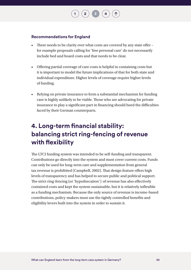#### **Recommendations for England**

• There needs to be clarity over what costs are covered by any state offer – for example proposals calling for 'free personal care' do not necessarily include bed and board costs and that needs to be clear.

 $\left( 2 \right)$  $\left( 2 \right)$  $\left( 2 \right)$   $\left( 3 \right)$  $\left( 3 \right)$  $\left( 3 \right)$ 

- Offering partial coverage of care costs is helpful in containing costs but it is important to model the future implications of that for both state and individual expenditure. Higher levels of coverage require higher levels of funding.
- Relying on private insurance to form a substantial mechanism for funding care is highly unlikely to be viable. Those who are advocating for private insurance to play a significant part in financing should heed the difficulties faced by their German counterparts.

### **4. Long-term financial stability: balancing strict ring-fencing of revenue with flexibility**

The LTCI funding system was intended to be self-funding and transparent. Contributions go directly into the system and must cover current costs. Funds can only be used for long-term care and supplementation from general tax revenue is prohibited (Campbell, 2002). That design feature offers high levels of transparency and has helped to secure public and political support. The strict ring-fencing (or 'hypothecation') of revenue has also effectively contained costs and kept the system sustainable, but it is relatively inflexible as a funding mechanism. Because the only source of revenue is income-based contributions, policy-makers must use the tightly controlled benefits and eligibility levers built into the system in order to sustain it.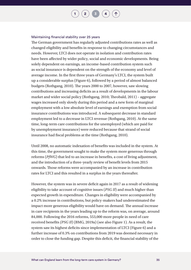#### Maintaining financial stability over 25 years

The German government has regularly adjusted contributions rates as well as changed eligibility and benefits in response to changing circumstances and needs. However, LTCI does not operate in isolation and contribution rates have been affected by wider policy, social and economic developments. Being solely dependent on earnings, an income-based contribution system such as social insurance is dependent on the strength of the economy and level of average income. In the first three years of Germany's LTCI, the system built up a considerable surplus (Figure 6), followed by a period of almost balanced budgets (Rothgang, 2010). The years 2000 to 2007, however, saw slowing contributions and increasing deficits as a result of developments in the labour market and wider social policy (Rothgang, 2010; Theobald, 2011) – aggregate wages increased only slowly during this period and a new form of marginal employment with a low absolute level of earnings and exemption from social insurance contributions was introduced. A subsequent decrease in standard employment led to a decrease in LTCI revenue (Rothgang, 2010). At the same time, long-term care contributions for the unemployed (which are paid for by unemployment insurance) were reduced because that strand of social insurance had fiscal problems at the time (Rothgang, 2010).

Until 2008, no automatic indexation of benefits was included in the system. At this time, the government sought to make the system more generous through reforms (*PfWG*) that led to an increase in benefits, a cost of living adjustment, and the introduction of a three-yearly review of benefit levels from 2015 onwards. Those reforms were accompanied by an increase in contribution rates for LTCI and this resulted in a surplus in the years thereafter.

However, the system was in severe deficit again in 2017 as a result of widening eligibility to take account of cognitive issues (*PSG II*) and much higher than expected growth in expenditure. Changes in eligibility were accompanied by a 0.2% increase in contributions, but policy-makers had underestimated the impact more generous eligibility would have on demand. The annual increase in care recipients in the years leading up to the reform was, on average, around 84,000. Following the 2016 reforms, 553,000 more people in need of care received benefits *(PSG II*) (BMG, 2019a) (see also Figure 1). As a result, the system saw its highest deficits since implementation of LTCI (Figure 6) and a further increase of 0.3% on contributions from 2019 was deemed necessary in order to close the funding gap. Despite this deficit, the financial stability of the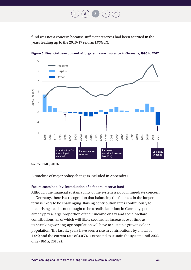**[1](#page-3-0) [2](#page-8-0) [3](#page-20-0) [4](#page-62-0)**

fund was not a concern because sufficient reserves had been accrued in the years leading up to the 2016/17 reform (*PSG II*).



**Figure 6: Financial development of long-term care insurance in Germany, 1995 to 2017**

Source: BMG, 2019b

A timeline of major policy change is included in Appendix 1.

#### Future sustainability: introduction of a federal reserve fund

Although the financial sustainability of the system is not of immediate concern in Germany, there is a recognition that balancing the finances in the longer term is likely to be challenging. Raising contribution rates continuously to meet rising need is not thought to be a realistic option; in Germany, people already pay a large proportion of their income on tax and social welfare contributions, all of which will likely see further increases over time as its shrinking working-age population will have to sustain a growing older population. The last six years have seen a rise in contributions by a total of 1.0%; and the current rate of 3.05% is expected to sustain the system until 2022 only (BMG, 2018a).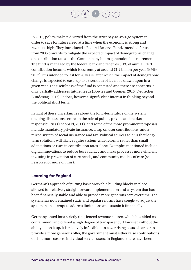In 2015, policy-makers diverted from the strict pay-as-you-go system in order to save for future need at a time when the economy is strong and revenues high. They introduced a Federal Reserve Fund, intended for use from 2035 onwards to mitigate the expected impact of demographic change on contribution rates as the German baby boom generation hits retirement. The fund is managed by the federal bank and receives 0.1% of annual LTCI contribution income, which is currently at around  $E1.2$  billion per year (BMG, 2017). It is intended to last for 20 years, after which the impact of demographic change is expected to ease; up to a twentieth of it can be drawn upon in a given year. The usefulness of the fund is contested and there are concerns it only partially addresses future needs (Bowles and Greiner, 2015; Deutscher Bundestag, 2017). It does, however, signify clear interest in thinking beyond the political short term.

In light of these uncertainties about the long-term future of the system, ongoing discussions centre on the role of public, private and market responsibilities (Theobald, 2011), and some of the more prominent proposals include mandatory private insurance, a cap on user contributions, and a mixed system of social insurance and tax. Political sources told us that longterm solutions will likely require system-wide reforms rather than small adaptations or rises in contribution rates alone. Examples mentioned include digital innovations to reduce bureaucracy and make processes more efficient, investing in prevention of care needs, and community models of care (see Lesson 9 for more on this).

#### **Learning for England**

Germany's approach of putting basic workable building blocks in place allowed for relatively straightforward implementation and a system that has been financially stable and able to provide more generous care over time. The system has not remained static and regular reforms have sought to adjust the system in an attempt to address limitations and sustain it financially.

Germany opted for a strictly ring-fenced revenue source, which has aided cost containment and offered a high degree of transparency. However, without the ability to top it up, it is relatively inflexible – to cover rising costs of care or to provide a more generous offer, the government must either raise contributions or shift more costs to individual service users. In England, there have been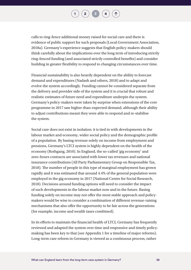$\begin{bmatrix} 2 \end{bmatrix}$  $\begin{bmatrix} 2 \end{bmatrix}$  $\begin{bmatrix} 2 \end{bmatrix}$   $\begin{bmatrix} 3 \end{bmatrix}$  $\begin{bmatrix} 3 \end{bmatrix}$  $\begin{bmatrix} 3 \end{bmatrix}$ 

calls to ring-fence additional money raised for social care and there is evidence of public support for such proposals (Local Government Association, 2018a). Germany's experience suggests that English policy-makers should think carefully about the implications over the long term of introducing strictly ring-fenced funding (and associated strictly controlled benefits) and consider building in greater flexibility to respond to changing circumstances over time.

Financial sustainability is also heavily dependent on the ability to forecast demand and expenditures (Nadash and others, 2018) and to adapt and evolve the system accordingly. Funding cannot be considered separate from the delivery and provider side of the system and it is crucial that robust and realistic estimates of future need and expenditure underpin the system. Germany's policy-makers were taken by surprise when extensions of the core programme in 2017 saw higher-than-expected demand, although their ability to adjust contributions meant they were able to respond and re-stabilise the system.

Social care does not exist in isolation: it is tied in with developments in the labour market and economy, wider social policy and the demographic profile of a population. By basing revenue solely on income from employment and pensions, Germany's LTCI system is highly dependent on the health of the economy (Rothgang, 2010). In England, the so-called 'gig economy' and zero-hours contracts are associated with lower tax revenues and national insurance contributions (All Party Parliamentary Group on Responsible Tax, 2018). The number of people in this type of marginal employment has grown rapidly and it was estimated that around 4.4% of the general population were employed in the gig economy in 2017 (National Centre for Social Research, 2018). Decisions around funding options will need to consider the impact of such developments in the labour market now and in the future. Basing funding solely on income may not offer the most stable approach and policymakers would be wise to consider a combination of different revenue-raising mechanisms that also offer the opportunity to be fair across the generations (for example, income and wealth taxes combined).

In its efforts to maintain the financial health of LTCI, Germany has frequently reviewed and adapted the system over time and responsive and timely policymaking has been key to that (see Appendix 1 for a timeline of major reforms). Long-term care reform in Germany is viewed as a continuous process, rather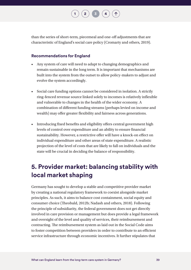**[1](#page-3-0) [2](#page-8-0)**  $\binom{1}{3}$  $\binom{1}{3}$  $\binom{1}{3}$  **[4](#page-62-0)** 

than the series of short-term, piecemeal and one-off adjustments that are characteristic of England's social care policy (Cromarty and others, 2019).

#### **Recommendations for England**

- Any system of care will need to adapt to changing demographics and remain sustainable in the long term. It is important that mechanisms are built into the system from the outset to allow policy-makers to adjust and evolve the system accordingly.
- Social care funding options cannot be considered in isolation. A strictly ring-fenced revenue source linked solely to incomes is relatively inflexible and vulnerable to changes in the health of the wider economy. A combination of different funding streams (perhaps levied on income and wealth) may offer greater flexibility and fairness across generations.
- Introducing fixed benefits and eligibility offers central government high levels of control over expenditure and an ability to ensure financial sustainability. However, a restrictive offer will have a knock-on effect on individual expenditure and other areas of state expenditure. A realistic projection of the level of costs that are likely to fall on individuals and the state will be crucial in deciding the balance of responsibility.

## **5. Provider market: balancing stability with local market shaping**

Germany has sought to develop a stable and competitive provider market by creating a national regulatory framework to coexist alongside market principles. As such, it aims to balance cost containment, social equity and consumer choice (Theobald, 2012b; Nadash and others, 2018). Following the principle of subsidiarity, the federal government does not get directly involved in care provision or management but does provide a legal framework and oversight of the level and quality of services, their reimbursement and contracting. The reimbursement system as laid out in the Social Code aims to foster competition between providers in order to contribute to an efficient service infrastructure through economic incentives. It further stipulates that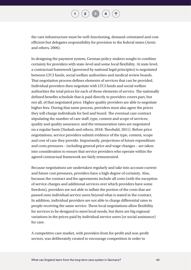$\begin{pmatrix} 2 \end{pmatrix}$  $\begin{pmatrix} 2 \end{pmatrix}$  $\begin{pmatrix} 2 \end{pmatrix}$   $\begin{pmatrix} 3 \end{pmatrix}$  $\begin{pmatrix} 3 \end{pmatrix}$  $\begin{pmatrix} 3 \end{pmatrix}$   $\begin{pmatrix} 4 \end{pmatrix}$  $\begin{pmatrix} 4 \end{pmatrix}$  $\begin{pmatrix} 4 \end{pmatrix}$ 

the care infrastructure must be well-functioning, demand-orientated and costefficient but delegates responsibility for provision to the federal states (Arntz and others, 2006).

In designing the payment system, German policy-makers sought to combine certainty for providers with state-level and some local flexibility. At state level, a contractual framework (governed by national legal principles) is negotiated between LTCI funds, social welfare authorities and medical review boards. That negotiation process defines elements of services that can be provided. Individual providers then negotiate with LTCI funds and social welfare authorities the total prices for each of those elements of service. The nationally defined benefits schedule that is paid directly to providers covers part, but not all, of that negotiated price. Higher quality providers are able to negotiate higher fees. During that same process, providers must also agree the prices they will charge individuals for bed and board. The eventual care contract stipulating the number of care staff; type, content and scope of services; quality and quality assurance; and the remuneration rates are negotiated on a regular basis (Nadash and others, 2018; Theobald, 2011). Before price negotiations, service providers submit evidence of the type, content, scope and cost of care they provide. Importantly, projections of future expenditure and costs pressures – including general price and wage changes – are taken into consideration to ensure that service providers who operate within the agreed contractual framework are fairly remunerated.

Because negotiations are undertaken regularly and take into account current and future cost pressures, providers have a high degree of certainty. Also, because the contract and fee agreements include all costs (with the exception of service charges and additional services over which providers have some freedom), providers are not able to inflate the portion of the costs that are passed onto individual service users beyond what is stated in the contract. In addition, individual providers are not able to charge differential rates to people receiving the same service. These local negotiations allow flexibility for services to be designed to meet local needs, but there are big regional variations in the prices paid by individual service users (or social assistance) for care.

A competitive care market, with providers from for-profit and non-profit sectors, was deliberately created to encourage competition in order to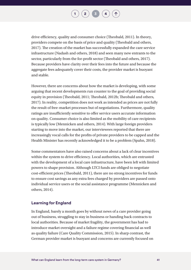drive efficiency, quality and consumer choice (Theobald, 2011). In theory, providers compete on the basis of price and quality (Theobald and others, 2017). The creation of the market has successfully expanded the care service infrastructure (Nadash and others, 2018) and seen many new entrants to the sector, particularly from the for-profit sector (Theobald and others, 2017). Because providers have clarity over their fees into the future and because the aggregate fees adequately cover their costs, the provider market is buoyant and stable.

However, there are concerns about how the market is developing, with some arguing that recent developments run counter to the goal of providing social equity in provision (Theobald, 2011; Theobald, 2012b; Theobald and others, 2017). In reality, competition does not work as intended as prices are not fully the result of free-market processes but of negotiations. Furthermore, quality ratings are insufficiently sensitive to offer service users accurate information on quality. Consumer choice is also limited as the mobility of care recipients is typically low (Mennicken and others, 2014). With large foreign providers starting to move into the market, our interviewees reported that there are increasingly vocal calls for the profits of private providers to be capped and the Health Minister has recently acknowledged it to be a problem (Spahn, 2018).

Some commentators have also raised concerns about a lack of clear incentives within the system to drive efficiency. Local authorities, which are entrusted with the development of a local care infrastructure, have been left with limited powers to shape provision. Although LTCI funds are obliged to negotiate cost-efficient prices (Theobald, 2011), there are no strong incentives for funds to ensure cost savings as any extra fees charged by providers are passed onto individual service users or the social assistance programme (Mennicken and others, 2014).

#### **Learning for England**

In England, barely a month goes by without news of a care provider going out of business, struggling to stay in business or handing back contracts to local authorities. Because of market fragility, the government has had to introduce market oversight and a failure regime covering financial as well as quality failure (Care Quality Commission, 2015). In sharp contrast, the German provider market is buoyant and concerns are currently focused on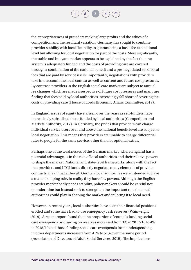the appropriateness of providers making large profits and the ethics of a competition and the resultant variation. Germany has sought to combine provider stability with local flexibility in guaranteeing a basic fee at a national level but allowing for local negotiation for part of the costs. More significantly, the stable and buoyant market appears to be explained by the fact that the system is adequately funded and the costs of providing care are covered through a combination of the national benefit and a pre-negotiated set of local fees that are paid by service users. Importantly, negotiations with providers take into account the local context as well as current and future cost pressures. By contrast, providers in the English social care market are subject to annual fee changes which are made irrespective of future cost pressures and many are finding that fees paid by local authorities increasingly fall short of covering the costs of providing care (House of Lords Economic Affairs Committee, 2019).

In England, issues of equity have arisen over the years as self-funders have increasingly subsidised those funded by local authorities (Competition and Markets Authority, 2017). In Germany, the prices that providers can charge individual service users over and above the national benefit level are subject to local negotiation. This means that providers are unable to charge differential rates to people for the same service, other than for optional extras.

Perhaps one of the weaknesses of the German market, where England has a potential advantage, is in the role of local authorities and their relative powers to shape the market. National and state-level frameworks, along with the fact that providers and LTCI funds directly negotiate many elements of provider contracts, mean that although German local authorities were intended to have a market-shaping role, in reality they have few powers. Although the English provider market badly needs stability, policy-makers should be careful not to undermine but instead seek to strengthen the important role that local authorities could play in shaping the market and tailoring it to local need.

However, in recent years, local authorities have seen their financial positions eroded and some have had to use emergency cash reserves (Wainwright, 2019). A recent report found that the proportion of councils funding social care overspends by drawing on reserves increased from 1% in 2017/18 to 4% in 2018/19 and those funding social care overspends from underspending in other departments increased from 41% to 51% over the same period (Association of Directors of Adult Social Services, 2019). The implications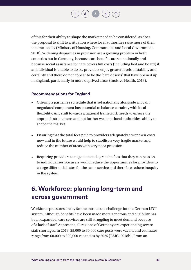of this for their ability to shape the market need to be considered, as does the proposal to shift to a situation where local authorities raise more of their income locally (Ministry of Housing, Communities and Local Government, 2018). Widening disparities in provision are a growing problem in both countries but in Germany, because care benefits are set nationally and because social assistance for care covers full costs (including bed and board) if an individual is unable to do so, providers enjoy greater levels of stability and certainty and there do not appear to be the 'care deserts' that have opened up in England, particularly in more deprived areas (Incisive Health, 2019).

#### **Recommendations for England**

- Offering a partial fee schedule that is set nationally alongside a locally negotiated component has potential to balance certainty with local flexibility. Any shift towards a national framework needs to ensure the approach strengthens and not further weakens local authorities' ability to shape the market.
- Ensuring that the total fees paid to providers adequately cover their costs now and in the future would help to stabilise a very fragile market and reduce the number of areas with very poor provision.
- Requiring providers to negotiate and agree the fees that they can pass on to individual service users would reduce the opportunities for providers to charge differential rates for the same service and therefore reduce inequity in the system.

## **6. Workforce: planning long-term and across government**

Workforce pressures are by far the most acute challenge for the German LTCI system. Although benefits have been made more generous and eligibility has been expanded, care services are still struggling to meet demand because of a lack of staff. At present, all regions of Germany are experiencing severe staff shortages. In 2018, 25,000 to 30,000 care posts were vacant and estimates range from 60,000 to 200,000 vacancies by 2025 (BMG, 2018b). From an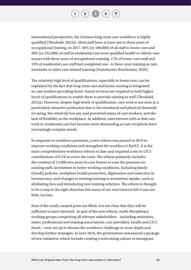international perspective, the German long-term care workforce is highly qualified (Theobald, 2012a). Most staff have at least one to three years of occupational training. In 2017, 46% (or 180,000) of all staff in home care and 30% (or 232,000) of staff in residential care were qualified health or elderly care nurses with three years of occupational training. 17% of home-care staff and 19% of residential care staff had completed one- to three-year training as care assistants or other care related training (Statistisches Bundesamt, 2018).

The relatively high level of qualifications, especially in home care, can be explained by the fact that long-term care and home nursing is integrated so care workers providing home-based services are required to hold higher levels of qualifications to enable them to provide nursing as well (Theobald, 2012a). However, despite high levels of qualification, care work is not seen as a particularly attractive profession due to the emotional and physical demands of caring, the relatively low pay and perceived status of care workers, and the lack of flexibility in the workplace. In addition, interviewees told us that care work in residential care has become more demanding as care recipients have increasingly complex needs.

In response to workforce pressures, a new reform was passed in 2019 to improve working conditions and strengthen the workforce (*PpSG*). It is the most comprehensive workforce reform to date and required a rise in LTCI contributions of 0.2% to cover the costs. The reform primarily includes the creation of 13,000 new posts in care homes to ease the pressure on existing staff; investment in better working conditions, including familyfriendly policies, workplace health promotion, digitisation and reduction in bureaucracy; and changes to nursing training to incentivise uptake, such as abolishing fees and introducing new training schemes. The reform is thought to be a step in the right direction but many of our interviewees felt it was too little, too late.

Even if the newly created posts are filled, it is not clear that they will be sufficient to meet demand. As part of the new reform, multi-disciplinary working groups comprising all relevant stakeholders – including ministries, states, professional and training associations, care providers, health and LTCI funds – were set up to discuss the workforce challenge in more depth and develop further strategies. In June 2019, the government announced a package of new initiatives which include creating a welcoming culture to immigrant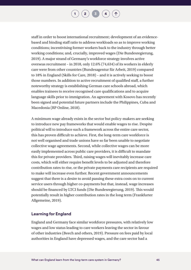staff in order to boost international recruitment; development of an evidencebased and binding staff ratio to address workloads so as to improve working conditions; incentivising former workers back to the industry through better working conditions; and, crucially, improved wages (Die Bundesregierung, 2019). A major strand of Germany's workforce strategy involves active overseas recruitment – in 2018, only 12.6% (74,634) of its workers in elderly care were from other countries (Bundesagentur für Arbeit, 2019) compared to 18% in England (Skills for Care, 2018) – and it is actively seeking to boost those numbers. In addition to active recruitment of qualified staff, a further noteworthy strategy is establishing German care schools abroad, which enables trainees to receive recognised care qualifications and to acquire language skills prior to immigration. An agreement with Kosovo has recently been signed and potential future partners include the Philippines, Cuba and Macedonia (RP Online, 2018).

A minimum wage already exists in the sector but policy-makers are seeking to introduce new pay frameworks that would enable wages to rise. Despite political will to introduce such a framework across the entire care sector, this has proven difficult to achieve. First, the long-term care workforce is not well organised and trade unions have so far been unable to negotiate collective wage agreements. Second, while collective wages can be more easily implemented across public care providers, it is difficult to mandate this for private providers. Third, raising wages will inevitably increase care costs, which will either require benefit levels to be adjusted and therefore contribution rates to rise, or the private payments care recipients are required to make will increase even further. Recent government announcements suggest that there is a desire to avoid passing these extra costs on to current service users through higher co-payments but that, instead, wage increases should be financed by LTCI funds (Die Bundesregierung, 2019). This would potentially result in higher contribution rates in the long term (Frankfurter Allgemeine, 2019).

#### **Learning for England**

England and Germany face similar workforce pressures, with relatively low wages and low status leading to care workers leaving the sector in favour of other industries (Beech and others, 2019). Pressure on fees paid by local authorities in England have depressed wages, and the care sector had a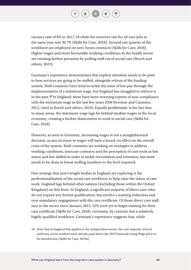$\begin{pmatrix} 2 \end{pmatrix}$  $\begin{pmatrix} 2 \end{pmatrix}$  $\begin{pmatrix} 2 \end{pmatrix}$   $\begin{pmatrix} 3 \end{pmatrix}$  $\begin{pmatrix} 3 \end{pmatrix}$  $\begin{pmatrix} 3 \end{pmatrix}$   $\begin{pmatrix} 4 \end{pmatrix}$  $\begin{pmatrix} 4 \end{pmatrix}$  $\begin{pmatrix} 4 \end{pmatrix}$ 

vacancy rate of 8% in 2017/18 while the turnover rate for all care jobs in the same year was 30.7% (Skills for Care, 2018). Around one quarter of the workforce are employed on zero-hours contracts [\(Skills for Care, 2018](https://www.skillsforcare.org.uk/NMDS-SC-intelligence/Workforce-intelligence/documents/State-of-the-adult-social-care-sector/The-state-of-the-adult-social-care-sector-and-workforce-2018.pdf)). Higher wages and more favourable working conditions in the health sector are creating further pressures by pulling staff out of social care (Beech and others, 2019).

Germany's experience demonstrates that explicit attention needs to be paid to how services are going to be staffed, alongside reform of the funding system. Both countries have tried to tackle the issue of low pay through the implementation of a minimum wage, but England has struggled to enforce it in the past.**10** In England, there have been worrying reports of non-compliance with the minimum wage in the last few years (HM Revenue and Customs, 2013, cited in Beech and others, 2019). Equally problematic is the fact that, in many areas, the minimum wage lags far behind median wages in the local economy, creating a further disincentive to work in social care [\(Skills for](https://www.skillsforcare.org.uk/NMDS-SC-intelligence/Workforce-intelligence/documents/Regional-reports/Regional-report-Yorkshire-and-Humber.pdf)  [Care, 2018\)](https://www.skillsforcare.org.uk/NMDS-SC-intelligence/Workforce-intelligence/documents/Regional-reports/Regional-report-Yorkshire-and-Humber.pdf).

However, as seen in Germany, increasing wages is not a straightforward decision, as any increase in wages will have a knock-on effect on the overall costs of the system. Both countries are working on strategies to address working conditions, insecure contracts and the perception of care work as low status and low skilled in order to tackle recruitment and retention, but more needs to be done to boost staffing numbers to the level required.

One strategy that arm's length bodies in England are exploring is the professionalisation of the social care workforce to help raise the status of care work. England lags behind other nations (including those within the United Kingdom) on this front. In England, a significant majority of direct care roles do not require any formal qualification, but involve a training induction and non-mandatory engagement with the care certificate. Of those direct care staff new to the sector since January 2015, 32% were yet to begin training for their care certificate [\(Skills for Care, 2018\)](https://www.skillsforcare.org.uk/NMDS-SC-intelligence/Workforce-intelligence/documents/State-of-the-adult-social-care-sector/The-state-of-the-adult-social-care-sector-and-workforce-2018.pdf). Germany, by contrast, has a relatively highly qualified workforce. Germany's experience suggests that, while

10 Note that in England this applies to the independent sector; the vast majority of local authority sector workers were already paid above the 2019 National Living Wage prior to its introduction (Skills for Care, 2019a).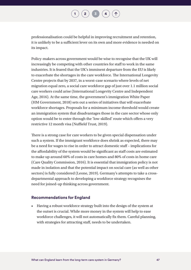$\begin{pmatrix} 2 \end{pmatrix}$  $\begin{pmatrix} 2 \end{pmatrix}$  $\begin{pmatrix} 2 \end{pmatrix}$  [3](#page-20-0)  $\begin{pmatrix} 4 \end{pmatrix}$  $\begin{pmatrix} 4 \end{pmatrix}$  $\begin{pmatrix} 4 \end{pmatrix}$ 

professionalisation could be helpful in improving recruitment and retention, it is unlikely to be a sufficient lever on its own and more evidence is needed on its impact.

Policy-makers across government would be wise to recognise that the UK will increasingly be competing with other countries for staff to work in the same industries. It is feared that the UK's imminent departure from the EU is likely to exacerbate the shortages in the care workforce. The International Longevity Centre projects that by 2037, in a worst-case scenario where levels of net migration equal zero, a social care workforce gap of just over 1.1 million social care workers could arise (International Longevity Centre and Independent Age, 2016). At the same time, the government's immigration White Paper (HM Government, 2018) sets out a series of initiatives that will exacerbate workforce shortages. Proposals for a minimum income threshold would create an immigration system that disadvantages those in the care sector whose only option would be to enter through the 'low-skilled' route which offers a very restrictive 12 month visa (Nuffield Trust, 2019).

There is a strong case for care workers to be given special dispensation under such a system. If the immigrant workforce does shrink as expected, there may be a need for wages to rise in order to attract domestic staff – implications for the affordability of the system would be significant as staff costs are estimated to make up around 60% of costs in care homes and 80% of costs in home care (Care Quality Commission, 2016). It is essential that immigration policy is not made in isolation and that the potential impact on social care (as well as other sectors) is fully considered (Leone, 2019). Germany's attempts to take a crossdepartmental approach to developing a workforce strategy recognises the need for joined-up thinking across government.

#### **Recommendations for England**

• Having a robust workforce strategy built into the design of the system at the outset is crucial. While more money in the system will help to ease workforce challenges, it will not automatically fix them. Careful planning, with strategies for attracting staff, needs to be undertaken.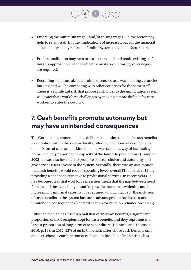• Enforcing the minimum wage – and/or raising wages – in the sector may help to retain staff, but the implications of increased pay for the financial sustainability of any reformed funding system need to be factored in.

 $\begin{bmatrix} 2 \end{bmatrix}$  $\begin{bmatrix} 2 \end{bmatrix}$  $\begin{bmatrix} 2 \end{bmatrix}$   $\begin{bmatrix} 3 \end{bmatrix}$  $\begin{bmatrix} 3 \end{bmatrix}$  $\begin{bmatrix} 3 \end{bmatrix}$ 

- Professionalisation may help to attract new staff and retain existing staff but this approach will not be effective on its own; a variety of strategies are required.
- Recruiting staff from abroad is often discussed as a way of filling vacancies, but England will be competing with other countries for the same staff. There is a significant risk that proposed changes to the immigration system will exacerbate workforce challenges by making it more difficult for care workers to enter the country.

## **7. Cash benefits promote autonomy but may have unintended consequences**

The German government made a deliberate decision to include cash benefits as an option within the system. Firstly, offering the option of cash benefits, or a mixture of cash and in-kind benefits, was seen as a way of facilitating home care, by promoting the capacity of the family to provide care (Campbell, 2002). It was also intended to promote control, choice and autonomy and give service users a voice in the system. Secondly, there was an assumption that cash benefits would reduce spending levels overall (Theobald, 2011) by providing a cheaper alternative to professional services. In recent years, it has become clear that workforce pressures mean that the gap between need for care and the availability of staff to provide that care is widening and that, increasingly, informal carers will be required to plug that gap. The inclusion of cash benefits in the system has some advantages but has led to some unintended consequences (see next section for more on reliance on carers).

Although the value is less than half that of 'in-kind' benefits, a significant proportion of LTCI recipients opt for cash benefits and they represent the largest proportion of long-term care expenditure (Heinicke and Thomsen, 2010, p. 14). In 2017, 52% of *all* LTCI beneficiaries chose cash benefits only and 24% chose a combination of cash and in-kind benefits [\(Statistisches](file:///\\nuffieldtrust.org.uk\DFS\Company\Policy\Projects\607090%20-%20Social%20care%20in%20Germany\Literature%20scoping\Statistics\Informal%20caregiving%20estimates.xlsx)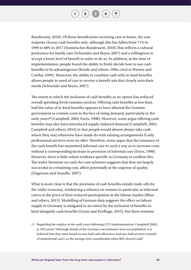$\begin{bmatrix} 2 \end{bmatrix}$  $\begin{bmatrix} 2 \end{bmatrix}$  $\begin{bmatrix} 2 \end{bmatrix}$   $\begin{bmatrix} 3 \end{bmatrix}$  $\begin{bmatrix} 3 \end{bmatrix}$  $\begin{bmatrix} 3 \end{bmatrix}$   $\begin{bmatrix} 4 \end{bmatrix}$  $\begin{bmatrix} 4 \end{bmatrix}$  $\begin{bmatrix} 4 \end{bmatrix}$ 

[Bundesamt, 2018\)](file:///\\nuffieldtrust.org.uk\DFS\Company\Policy\Projects\607090%20-%20Social%20care%20in%20Germany\Literature%20scoping\Statistics\Informal%20caregiving%20estimates.xlsx). Of those beneficiaries receiving care at home, the vast majority choose cash benefits only, although this has fallen from 71% in 1999 to 68% in 2017 [\(Statistisches Bundesamt, 2018\).](file:///\\nuffieldtrust.org.uk\DFS\Company\Policy\Projects\607090%20-%20Social%20care%20in%20Germany\Literature%20scoping\Statistics\Informal%20caregiving%20estimates.xlsx)This reflects a cultural preference for family care (Schneider and Reyes, 2007) and a willingness to accept a lower level of benefit in order to do so. In addition, at the time of implementation, people found the ability to freely decide how to use cash benefits to be advantageous (Runde and others, 1996, cited in [Wiener and](file:///X:\Policy\Projects\607090%20-%20Social%20care%20in%20Germany\Literature%20scoping\Initial%20scoping_full%20text%20PDFs\Weiner,%201999.pdf)  [Cuellar,](file:///X:\Policy\Projects\607090%20-%20Social%20care%20in%20Germany\Literature%20scoping\Initial%20scoping_full%20text%20PDFs\Weiner,%201999.pdf) 1999). Moreover, the ability to combine cash with in-kind benefits allows people in need of care to receive a benefit mix that closely suits their needs (Schneider and Reyes, 2007).

The extent to which the inclusion of cash benefits as an option has reduced overall spending levels remains unclear. Offering cash benefits at less than half the value of in-kind benefits appears to have allowed the German government to contain costs in the face of rising demand, particularly in the early years**11** (Campbell, 2002; Evers, 1998). However, some argue offering cash benefits may also have introduced supply-induced demand (Campbell, 2002; Campbell and others, 2010) in that people would almost always take cash where they may otherwise have made do with existing arrangements if only professional services were on offer. Therefore, some argue that the existence of the cash benefit has monetised informal care in such a way as to increase costs without a corresponding increase in provision of informal care (Evers, 1998). However, there is little robust evidence specific to Germany to confirm this. The wider literature on cash-for-care schemes suggests that they are largely successful in containing cost, albeit potentially at the expense of quality (Ungerson and Yeandle, 2007).

What is more clear is that the provision of cash benefits entails trade-offs for the wider economy, reinforcing a reliance on women in particular as informal carers at the price of their reduced participation in the labour market (Rhee and others, 2015). Modelling of German data suggests the effect on labour supply in Germany is mitigated to an extent by the inclusion of benefits in kind alongside cash benefits (Geyer and Korfhage, 2015), but there remains

11 Regarding the surplus in the early years following LTCI implementation, Campbell (2002, p. 183) states "Although details of the German cost estimates were not published, it is believed that they were based on one-half cash allowance and one-half services (outside of institutional care), so the savings were considerable when 80% elected cash".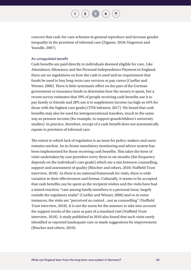$\binom{2}{3}$  $\binom{2}{3}$  $\binom{2}{3}$  $\binom{2}{3}$  $\binom{2}{3}$  **[4](#page-62-0)** 

concern that cash-for-care schemes in general reproduce and increase gender inequality in the provision of informal care (Zigante, 2018; Ungerson and Yeandle, 2007).

#### An unregulated benefit

Cash benefits are paid directly to individuals deemed eligible for care. Like Attendance Allowance and the Personal Independence Payment in England, there are no regulations on how the cash is used and no requirement that funds be used to buy long-term care services or pay carers (Cuellar and Wiener, 2000). There is little systematic effort on the part of the German government or insurance funds to determine how the money is spent, but a recent survey estimates that 59% of people receiving cash benefits use it to pay family or friends and 28% use it to supplement income (as high as 44% for those with the highest care grade) [\(TNS Infratest, 2017\)](https://www.bundesgesundheitsministerium.de/fileadmin/Dateien/5_Publikationen/Pflege/Berichte/Abschlussbericht_Evaluation_PNG_PSG_I.pdf). We heard that cash benefits may also be used for intergenerational transfers, much in the same way as pension income (for example, to support grandchildren's university studies). In practice, therefore, receipt of a cash benefit does not automatically equate to provision of informal care.

The extent to which lack of regulation is an issue for policy-makers and users remains unclear. An in-home mandatory monitoring and advice system has been implemented for those receiving cash benefits. This takes the form of visits undertaken by care providers every three to six months (the frequency depends on the individual's care grade) which are a mix between counselling, support and assessment of quality (Büscher and others, 2010; Nuffield Trust interview, 2018). As there is no national framework for visits, there is wide variation in their effectiveness and format. Culturally, it seems to be accepted that cash benefits can be spent as the recipient wishes and the visits have had a mixed reaction: "care among family members is a personal issue, largely outside the regulatory realm" (Cuellar and Wiener, 2000) and so in some instances, the visits are "perceived as control…not as counselling" (Nuffield Trust interview, 2018). It is not the norm for the assessor to take into account the support needs of the carer as part of a standard visit (Nuffield Trust interview, 2018). A study published in 2010 also found that such visits rarely identified or reported inadequate care or made suggestions for improvement (Büscher and others, 2010).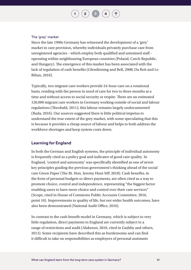#### The 'grey' market

Since the late 1990s Germany has witnessed the development of a 'grey' market in care provision, whereby individuals privately purchase care from unregistered agencies – which employ both qualified and untrained staff – operating within neighbouring European countries (Poland, Czech Republic, and Hungary). The emergence of this market has been associated with the lack of regulation of cash benefits (Glendinning and Bell, 2008; Da Roit and Le Bihan, 2010).

**[2](#page-8-0)**  $\binom{3}{4}$  $\binom{3}{4}$  $\binom{3}{4}$  $\binom{3}{4}$  $\binom{3}{4}$ 

Typically, two migrant care workers provide 24-hour care on a rotational basis, residing with the person in need of care for two to three months at a time and without access to social security or respite. There are an estimated 120,000 migrant care workers in Germany working outside of social and labour regulations (Theobald, 2011); this labour remains largely undocumented (Rada, 2016). Our sources suggested there is little political impetus to understand the true extent of the grey market, with some speculating that this is because it provides a cheap source of labour and helps to both address the workforce shortages and keep system costs down.

#### **Learning for England**

In both the German and English systems, the principle of individual autonomy is frequently cited as a policy goal and indicator of good care quality. In England, 'control and autonomy' was specifically identified as one of seven key principles guiding the previous government's thinking ahead of the social care Green Paper (The Rt. Hon. Jeremy Hunt MP, 2018). Cash benefits, in the form of personal budgets or direct payments, are often cited as a way to promote choice, control and independence, representing "the biggest factor enabling users to have more choice and control over their care services" (Scope, cited in House of Commons Public Accounts Committee, 2016, point 10). Improvements to quality of life, but not wider health outcomes, have also been demonstrated (National Audit Office, 2016).

In contrast to the cash benefit model in Germany, which is subject to very little regulation, direct payments in England are currently subject to a range of restrictions and audit (Alakeson, 2010, cited in [Gadsby and others,](file:///X:\Policy\Projects\607090%20-%20Social%20care%20in%20Germany\Literature%20scoping\Grey%20literature%20pdfs\Gadsby%20et%20al_Personal-Budgets_Review-of-International-Evidence_2013.pdf)  [2013\)](file:///X:\Policy\Projects\607090%20-%20Social%20care%20in%20Germany\Literature%20scoping\Grey%20literature%20pdfs\Gadsby%20et%20al_Personal-Budgets_Review-of-International-Evidence_2013.pdf). Some recipients have described this as burdensome and can find it difficult to take on responsibilities as employers of personal assistants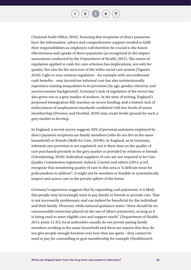**[2](#page-8-0)**  $\frac{1}{3}$  $\frac{1}{3}$  $\frac{1}{3}$  $\frac{1}{3}$  $\frac{1}{3}$ 

(National Audit Office, 2016). Ensuring that recipients of direct payments have the information, advice and comprehensive support needed to fulfil their responsibilities as employers will therefore be crucial to the future effectiveness and uptake of direct payments (as recognised in the impact assessment conducted by the Department of Health, 2012). The extent of regulation applied to cash-for-care schemes has implications, not only for quality, but also for the structure of the wider social care system (Zigante, 2018). Light or non-existent regulation – for example with unconditional cash benefits – may incentivise informal care but also unintentionally reproduce existing inequalities in its provision (by age, gender, ethnicity and socioeconomic background). Germany's lack of regulation of the sector has also given rise to a grey market of workers. At the time of writing, England's proposed Immigration Bill; inaction on sector funding; and a historic lack of enforcement of employment standards combined with low levels of union membership (Dromey and Hochlaf, 2018) may create fertile ground for such a grey market to develop.

In England, a recent survey suggests 56% of personal assistants employed by direct payment recipients are family members (who do not live in the same household) or friends (Skills for Care, 2019b). In England, as in Germany, informal care provision is not regulated, nor is there data on the quality of care purchased privately in the grey market or provided by relatives or friends [\(Glendinning, 2018\).](file:///X:\Policy\Projects\607090%20-%20Social%20care%20in%20Germany\Literature%20scoping\Grey%20literature%20pdfs\Glendinning_UK_ESPN_thematic%20report%20on%20LTC_2018.pdf) Individual suppliers of care are not required to be Care Quality Commission registered. Indeed, Courtin and others (2014, p.16) recognise that monitoring quality of care in this area is "a delicate issue for policymakers to address"; it might not be sensitive or feasible to systematically inspect and assess care in the private sphere of the home.

Germany's experience suggests that by expanding cash payments, it is likely that people may increasingly want to pay family or friends to provide care. That is not necessarily problematic and can indeed be beneficial for the individual and their family. However, while national guidance states "there should be no unreasonable restriction placed on the use of [direct payments], as long as it is being used to meet eligible care and support needs" (Department of Health, 2014, point 12.35), local authorities usually do not permit paying family members residing in the same household and there are reports that they do not give people enough freedom over how they are spent – they cannot be used to pay for counselling or gym membership for example (Healthwatch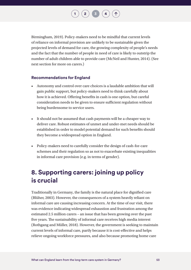Birmingham, 2019). Policy-makers need to be mindful that current levels of reliance on informal provision are unlikely to be sustainable given the projected levels of demand for care, the growing complexity of people's needs and the fact that the number of people in need of care is likely to outstrip the number of adult children able to provide care (McNeil and Hunter, 2014). (See next section for more on carers.)

#### **Recommendations for England**

- Autonomy and control over care choices is a laudable ambition that will gain public support, but policy-makers need to think carefully about how it is achieved. Offering benefits in cash is one option, but careful consideration needs to be given to ensure sufficient regulation without being burdensome to service users.
- It should not be assumed that cash payments will be a cheaper way to deliver care. Robust estimates of unmet and under-met needs should be established in order to model potential demand for such benefits should they become a widespread option in England.
- Policy-makers need to carefully consider the design of cash-for-care schemes and their regulation so as not to exacerbate existing inequalities in informal care provision (e.g. in terms of gender).

## **8. Supporting carers: joining up policy is crucial**

Traditionally in Germany, the family is the natural place for dignified care (Blüher, 2003). However, the consequences of a system heavily reliant on informal care are causing increasing concern. At the time of our visit, there was evidence indicating widespread exhaustion and frustration among the estimated 2.5 million carers – an issue that has been growing over the past five years. The sustainability of informal care receives high media interest (Rothgang and Müller, 2018). However, the government is seeking to maintain current levels of informal care, partly because it is cost-effective and helps relieve ongoing workforce pressures, and also because promoting home care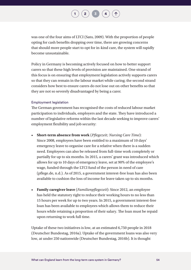

was one of the four aims of LTCI (Sato, 2009). With the proportion of people opting for cash benefits dropping over time, there are growing concerns that should more people start to opt for in-kind care, the system will rapidly become unsustainable.

Policy in Germany is becoming actively focused on how to better support carers so that these high levels of provision are maintained. One strand of this focus is on ensuring that employment legislation actively supports carers so that they can remain in the labour market while caring; the second strand considers how best to ensure carers do not lose out on other benefits so that they are not so severely disadvantaged by being a carer.

#### Employment legislation

The German government has recognised the costs of reduced labour market participation to individuals, employers and the state. They have introduced a number of legislative reforms within the last decade seeking to improve carers' employment flexibility and job security:

- **Short-term absence from work** (*Pflegezeit; Nursing Care Time*): Since 2008, employees have been entitled to a maximum of 10 days' emergency leave to organise care for a relative when there is a sudden need. Employees can also be released from full-time work completely or partially for up to six months. In 2015, a carers' grant was introduced which allows for up to 10 days of emergency leave, set at 90% of the employee's wage, funded through the LTCI fund of the person in need of care (pflege.de, n.d.). As of 2015, a government interest-free loan has also been available to cushion the loss of income for leave taken up to six months.
- **Family caregiver leave** (*Familienpflegezeit*): Since 2012, an employee has held the statutory right to reduce their working hours to no less than 15 hours per week for up to two years. In 2015, a government interest-free loan has been available to employees which allows them to reduce their hours while retaining a proportion of their salary. The loan must be repaid upon returning to work full time.

Uptake of these two initiatives is low, at an estimated 6,750 people in 2018 (Deutscher Bundestag, 2016a). Uptake of the government loans was also very low, at under 250 nationwide (Deutscher Bundestag, 2016b). It is thought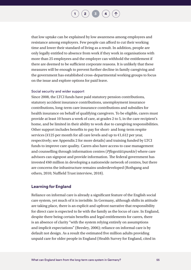that low uptake can be explained by low awareness among employees and resistance among employers. Few people can afford to cut their working time and lower their standard of living as a result. In addition, people are only legally entitled to absence from work if they work in organisations with more than 25 employees and the employer can withhold the entitlement if there are deemed to be sufficient corporate reasons. It is unlikely that these measures will be enough to prevent further decline in family caregiving and the government has established cross-departmental working groups to focus on the issue and explore options for paid leave.

#### Social security and wider support

Since 2008, the LTCI funds have paid statutory pension contributions, statutory accident insurance contributions, unemployment insurance contributions, long-term care insurance contributions and subsidies for health insurance on behalf of qualifying caregivers. To be eligible, carers must provide at least 10 hours a week of care, at grades 2 to 5, in the care recipient's home, and be limited in their ability to work due to caregiving responsibilities. Other support includes benefits to pay for short- and long-term respite services ( $\epsilon$ 125 per month for all care levels and up to  $\epsilon$ 1,612 per year, respectively; see Appendix 2 for more details) and training funded by LTCI funds to improve care quality. Carers also have access to case management and counselling through information centres (*Pflegestützpunkte*) where care advisors can signpost and provide information. The federal government has invested  $\epsilon$ 60 million in developing a nationwide network of centres, but there are concerns the infrastructure remains underdeveloped (Rothgang and others, 2010; Nuffield Trust interview, 2018).

#### **Learning for England**

Reliance on informal care is already a significant feature of the English social care system, yet much of it is invisible. In Germany, although shifts in attitude are taking place, there is an explicit and upfront narrative that responsibility for direct care is expected to lie with the family as the locus of care. In England, despite there being certain benefits and legal entitlements for carers, there is an absence of clarity "with the system relying entirely on assumptions and implicit expectations" (Beesley, 2006); reliance on informal care is by default not design. As a result the estimated five million adults providing unpaid care for older people in England (Health Survey for England, cited in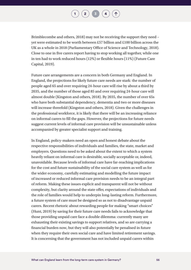[Brimblecombe and others, 2018\)](http://eprints.lse.ac.uk/90215/1/Brimblecombe_Fernandez_Knapp%20et%20al._Unpaid%20care%20in%20England_Author%20_%202018.pdf) may not be receiving the support they need – yet were estimated to be worth between £57 billion and £100 billion across the UK as a whole in 2018 (Parliamentary Office of Science and Technology, 2018). Close to one in five carers report having to stop working all together, while one in ten had to work reduced hours (12%) or flexible hours (11%) (Future Care Capital, 2019).

Future care arrangements are a concern in both Germany and England. In England, the projections for likely future care needs are stark: the number of people aged 65 and over requiring 24-hour care will rise by about a third by 2035, and the number of those aged 85 and over requiring 24-hour care will almost double (Kingston and others, 2018). By 2035, the number of over 65s who have both substantial dependency, dementia and two or more diseases will increase threefold (Kingston and others, 2018). Given the challenges in the professional workforce, it is likely that there will be an increasing reliance on informal carers to fill the gaps. However, the projections for future needs suggest current levels of informal care provision will be unsustainable unless accompanied by greater specialist support and training.

In England, policy-makers need an open and honest debate about the respective responsibilities of individuals and families, the state, market and employers. Questions need to be asked about the extent to which a system heavily reliant on informal care is desirable, socially acceptable or, indeed, unavoidable. Because levels of informal care have far-reaching implications for the cost and future sustainability of the social care system as well as for the wider economy, carefully estimating and modelling the future impact of increased or reduced informal care provision needs to be an integral part of reform. Making these issues explicit and transparent will not be without complexity, but clarity around the state offer, expectations of individuals and the role of families would help to underpin long-lasting reform. Furthermore, a future system of care must be designed so as not to disadvantage unpaid carers. Recent rhetoric about rewarding people for making "smart choices" (Hunt, 2019) by saving for their future care needs fails to acknowledge that those providing unpaid care face a double dilemma: currently many are exhausting their existing savings to support relatives, and so are carrying a financial burden now, but they will also potentially be penalised in future when they require their own social care and have limited retirement savings. It is concerning that the government has not included unpaid carers within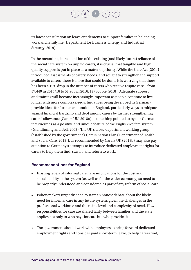$\begin{bmatrix} 2 \end{bmatrix}$  $\begin{bmatrix} 2 \end{bmatrix}$  $\begin{bmatrix} 2 \end{bmatrix}$   $\begin{bmatrix} 3 \end{bmatrix}$  $\begin{bmatrix} 3 \end{bmatrix}$  $\begin{bmatrix} 3 \end{bmatrix}$ 

its latest consultation on leave entitlements to support families in balancing work and family life (Department for Business, Energy and Industrial Strategy, 2019).

In the meantime, in recognition of the existing (and likely future) reliance of the social care system on unpaid carers, it is crucial that tangible and high quality support is put in place as a matter of priority. While the Care Act (2014) introduced assessments of carers' needs, and sought to strengthen the support available to carers, there is more that could be done. It is worrying that there has been a 10% drop in the number of carers who receive respite care – from 57,440 in 2015/16 to 51,980 in 2016/17 (Scobie, 2018). Adequate support and training will become increasingly important as people continue to live longer with more complex needs. Initiatives being developed in Germany provide ideas for further exploration in England, particularly ways to mitigate against financial hardship and debt among carers by further strengthening carers' allowance (Carers UK, 2018a) – something pointed to by our German interviewees as a positive and unique feature of the English welfare system (Glendinning and Bell, 2008). The UK's cross-department working group (established by the government's Carers Action Plan (Department of Health and Social Care, 2018)), as recommended by Carers UK (2018b) may also pay attention to Germany's attempts to introduce dedicated employment rights for carers to help them find, stay in, and return to work.

#### **Recommendations for England**

- Existing levels of informal care have implications for the cost and sustainability of the system (as well as for the wider economy) so need to be properly understood and considered as part of any reform of social care.
- Policy-makers urgently need to start an honest debate about the likely need for informal care in any future system, given the challenges in the professional workforce and the rising level and complexity of need. How responsibilities for care are shared fairly between families and the state applies not only to who pays for care but who provides it.
- The government should work with employers to bring forward dedicated employment rights and consider paid short-term leave, to help carers find,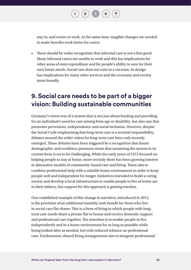stay in, and return to work. At the same time, tangible changes are needed to make benefits work better for carers.

**[2](#page-8-0)**  $\binom{3}{4}$  $\binom{3}{4}$  $\binom{3}{4}$  $\binom{3}{4}$  $\binom{3}{4}$ 

• There should be wider recognition that informal care is not a free good. Many informal carers are unable to work and this has implications for other areas of state expenditure and for people's ability to save for their own future needs. Social care does not exist in a vacuum; its design has implications for many other services and the economy and society more broadly.

## **9. Social care needs to be part of a bigger vision: Building sustainable communities**

Germany's vision was of a system that is not just about funding and providing for an individual's need for care arising from age or disability, but also one that promotes prevention, independence and social inclusion. However, despite the Social Code emphasising that long-term care is a societal responsibility, debates around the wider vision for long-term care have only recently emerged. These debates have been triggered by a recognition that future demographic and workforce pressures mean that sustaining the system in its current form is set to be challenging. While the early years of LTCI focused on helping people to stay at home, more recently there has been growing interest in alternative models of community-based care and living. These aim to combine professional help with a suitable home environment in order to keep people well and independent for longer. Initiatives intended to build a caring society and develop a local infrastructure to enable people to live at home are in their infancy, but support for this approach is gaining traction.

One established example of this change in narrative, introduced in 2012, is the provision of an additional monthly cash benefit for those who live in social care flat shares. This is a form of living in which people with longterm care needs share a private flat or house and receive domestic support and professional care together. The intention is to enable people to live independently and in a home environment for as long as possible while being looked after as needed, but with reduced reliance on professional care. Furthermore, shared living arrangements aim to integrate professional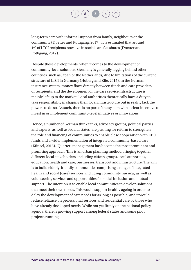$\begin{pmatrix} 2 \end{pmatrix}$  $\begin{pmatrix} 2 \end{pmatrix}$  $\begin{pmatrix} 2 \end{pmatrix}$   $\begin{pmatrix} 3 \end{pmatrix}$  $\begin{pmatrix} 3 \end{pmatrix}$  $\begin{pmatrix} 3 \end{pmatrix}$   $\begin{pmatrix} 4 \end{pmatrix}$  $\begin{pmatrix} 4 \end{pmatrix}$  $\begin{pmatrix} 4 \end{pmatrix}$ 

long-term care with informal support from family, neighbours or the community (Doetter and Rothgang, 2017). It is estimated that around 4% of LTCI recipients now live in social care flat shares (Doetter and Rothgang, 2017).

Despite these developments, when it comes to the development of community-level solutions, Germany is generally lagging behind other countries, such as Japan or the Netherlands, due to limitations of the current structure of LTCI in Germany (Hoberg and Klie, 2015). In the German insurance system, money flows directly between funds and care providers or recipients, and the development of the care service infrastructure is mainly left up to the market. Local authorities theoretically have a duty to take responsibility in shaping their local infrastructure but in reality lack the powers to do so. As such, there is no part of the system with a clear incentive to invest in or implement community-level initiatives or innovations.

Hence, a number of German think tanks, advocacy groups, political parties and experts, as well as federal states, are pushing for reform to strengthen the role and financing of communities to enable close cooperation with LTCI funds and a wider implementation of integrated community-based care (Künzel, 2015). 'Quarter' management has become the most prominent and promising approach. This is an urban planning method bringing together different local stakeholders, including citizen groups, local authorities, education, health and care, businesses, transport and infrastructure. The aim is to build elderly-friendly communities comprising a range of integrated health and social (care) services, including community nursing, as well as volunteering services and opportunities for social inclusion and mutual support. The intention is to enable local communities to develop solutions that meet their own needs. This would support healthy ageing in order to delay the development of care needs for as long as possible; and it would reduce reliance on professional services and residential care by those who have already developed needs. While not yet firmly on the national policy agenda, there is growing support among federal states and some pilot projects running.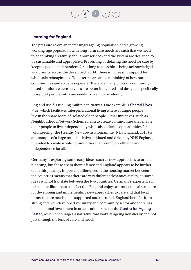$\begin{bmatrix} 2 \end{bmatrix}$  $\begin{bmatrix} 2 \end{bmatrix}$  $\begin{bmatrix} 2 \end{bmatrix}$   $\begin{bmatrix} 3 \end{bmatrix}$  $\begin{bmatrix} 3 \end{bmatrix}$  $\begin{bmatrix} 3 \end{bmatrix}$ 

#### **Learning for England**

The pressures from an increasingly ageing population and a growing working-age population with long-term care needs are such that we need to be thinking creatively about how services and the system are designed to be sustainable and appropriate. Preventing or delaying the need for care by keeping people independent for as long as possible is being acknowledged as a priority across the developed world. There is increasing support for wholesale reimagining of long-term care and a rethinking of how our communities and societies operate. There are many pilots of communitybased solutions where services are better integrated and designed specifically to support people with care needs to live independently.

England itself is trialling multiple initiatives. One example is [Shared Lives](https://sharedlivesplus.org.uk/)  [Plus](https://sharedlivesplus.org.uk/), which facilitates intergenerational living where younger people live in the spare room of isolated older people. Other initiatives, such as Neighbourhood Network Schemes, aim to create communities that enable older people to live independently while also offering opportunities for volunteering. The Healthy New Towns Programme (NHS England, 2018) is an example of a large-scale initiative, initiated and driven by NHS England, intended to create whole communities that promote wellbeing and independence for all.

Germany is exploring some early ideas, such as new approaches to urban planning, but these are in their infancy and England appears to be further on in this journey. Important differences in the housing market between the countries means that there are very different dynamics at play, so some ideas will not translate between the two countries. Germany's experience in this matter illuminates the fact that England enjoys a stronger local structure for developing and implementing new approaches to care and that local infrastructure needs to be supported and nurtured. England benefits from a strong and well-developed voluntary and community sector and there has been national investment in organisations such as the [Centre for Ageing](https://www.ageing-better.org.uk/sites/default/files/2018-07/Ageing-Better-Transforming-Later-Lives.pdf)  [Better](https://www.ageing-better.org.uk/sites/default/files/2018-07/Ageing-Better-Transforming-Later-Lives.pdf), which encourages a narrative that looks at ageing holistically and not just through the lens of care and need.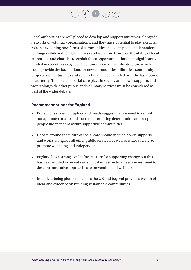$\begin{bmatrix} 2 \end{bmatrix}$  $\begin{bmatrix} 2 \end{bmatrix}$  $\begin{bmatrix} 2 \end{bmatrix}$   $\begin{bmatrix} 3 \end{bmatrix}$  $\begin{bmatrix} 3 \end{bmatrix}$  $\begin{bmatrix} 3 \end{bmatrix}$ 

Local authorities are well placed to develop and support initiatives, alongside networks of voluntary organisations, and they have potential to play a crucial role in developing new forms of communities that keep people independent for longer while reducing loneliness and isolation. However, the ability of local authorities and charities to exploit these opportunities has been significantly limited in recent years by repeated funding cuts. The infrastructure which could provide the foundations for new communities – libraries, community projects, dementia cafes and so on – have all been eroded over the last decade of austerity. The role that social care plays in society and how it supports and works alongside other public and voluntary services must be considered as part of the wider debate.

#### **Recommendations for England**

- Projections of demographics and needs suggest that we need to rethink our approach to care and focus on preventing deterioration and keeping people independent within supportive communities.
- Debate around the future of social care should include how it supports and works alongside all other public services, as well as wider society, to promote wellbeing and independence.
- England has a strong local infrastructure for supporting change but this has been eroded in recent years. Local infrastructure needs investment to develop innovative approaches to prevention and wellness.
- Initiatives being pioneered across the UK and beyond provide a wealth of ideas and evidence on building sustainable communities.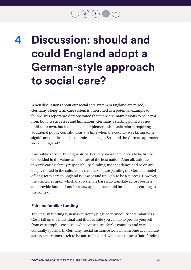$\left( \begin{array}{c} 2 \end{array} \right)$  $\left( \begin{array}{c} 2 \end{array} \right)$  $\left( \begin{array}{c} 2 \end{array} \right)$   $\left( \begin{array}{c} 3 \end{array} \right)$  $\left( \begin{array}{c} 3 \end{array} \right)$  $\left( \begin{array}{c} 3 \end{array} \right)$ 

# <span id="page-62-0"></span>**Discussion: should and could England adopt a German-style approach to social care? 4**

When discussions about our social care system in England are raised, Germany's long-term care system is often cited as a potential example to follow. This report has demonstrated that there are many lessons to be learnt from both its successes and limitations. Germany's starting point was not unlike our own, but it managed to implement wholesale reform requiring additional public contributions at a time when the country was facing some significant political and economic challenges. So could the German approach work in England?

Any public service, but arguably particularly social care, needs to be firmly embedded in the values and culture of the host nation. After all, attitudes towards caring, family responsibility, funding, independence and so on are deeply rooted in the culture of a nation. So, transplanting the German model of long-term care to England is unwise and unlikely to be a success. However, the principles upon which that system is based do translate across borders and provide foundations for a new system that could be shaped according to the context.

#### **Fair and familiar funding**

The English funding system is currently plagued by inequity and unfairness. Costs fall on the individual and there is little you can do to protect yourself from catastrophic costs. But what constitutes 'fair' is complex and very culturally specific. In Germany, social insurance levied on income at a flat rate across generations is felt to be fair. In England, what constitutes a 'fair' funding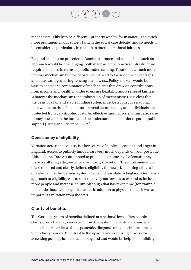

mechanism is likely to be different – property wealth, for instance, is so much more prominent in our society (and in the social care debate) and so needs to be considered, particularly in relation to intergenerational fairness.

England also has no precedent of social insurance and establishing such an approach would be challenging, both in terms of the practical infrastructure required but also in terms of public understanding. Taxation is a much more familiar mechanism but the debate would need to focus on the advantages and disadvantages of ring-fencing any new tax. Policy-makers would be wise to consider a combination of mechanisms that draw on contributions from income and wealth in order to ensure flexibility and a sense of fairness. Whatever the mechanism (or combination of mechanisms), it is clear that the basis of a fair and stable funding system must be a collective national pool where the risk of high costs is spread across society and individuals are protected from catastrophic costs. An effective funding system must also raise money now and in the future and be understandable in order to garner public support (Oung and Schlepper, 2019).

#### **Consistency of eligibility**

Variation across the country is a key source of public discontent and anger in England. Access to publicly funded care very much depends on your postcode. Although the Care Act attempted to put in place some level of consistency, there is still a high degree of local authority discretion. The implementation of a structured and clearly defined eligibility framework spanning all ages is one element of the German system that could translate to England. Germany's approach to eligibility was to start relatively narrow but to expand to include more people and increase equity. Although that has taken time (for example, to include those with cognitive issues in addition to physical ones), it was an important aspiration from the start.

#### **Clarity of benefits**

The German system of benefits defined at a national level offers people clarity over what they can expect from the system. Benefits are awarded on need alone, regardless of age, postcode, diagnosis or living circumstances. Such clarity is in stark contrast to the opaque and confusing process for accessing publicly funded care in England and would be helpful in building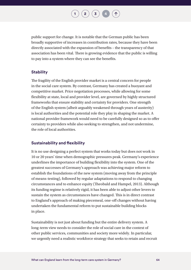**[2](#page-8-0)**  $\left(\mathbf{3}\right)$  $\left(\mathbf{3}\right)$  $\left(\mathbf{3}\right)$ 

public support for change. It is notable that the German public has been broadly supportive of increases in contribution rates, because they have been directly associated with the expansion of benefits – the transparency of that association has been vital. There is growing evidence that the public is willing to pay into a system where they can see the benefits.

#### **Stability**

The fragility of the English provider market is a central concern for people in the social care system. By contrast, Germany has created a buoyant and competitive market. Price negotiation processes, while allowing for some flexibility at state, local and provider level, are governed by highly structured frameworks that ensure stability and certainty for providers. One strength of the English system (albeit arguably weakened through years of austerity) is local authorities and the potential role they play in shaping the market. A national provider framework would need to be carefully designed so as to offer certainty to providers while also seeking to strengthen, and not undermine, the role of local authorities.

#### **Sustainability and flexibility**

It is no use designing a perfect system that works today but does not work in 10 or 20 years' time when demographic pressures peak. Germany's experience underlines the importance of building flexibility into the system. One of the greatest successes of Germany's approach was achieving major reform to establish the foundations of the new system (moving away from the principle of means-testing), followed by regular adaptations to respond to changing circumstances and to enhance equity (Theobald and Hampel, 2013). Although its funding regime is relatively rigid, it has been able to adjust other levers to sustain the system as circumstances have changed. This is in direct contrast to England's approach of making piecemeal, one-off changes without having undertaken the fundamental reform to put sustainable building blocks in place.

Sustainability is not just about funding but the entire delivery system. A long-term view needs to consider the role of social care in the context of other public services, communities and society more widely. In particular, we urgently need a realistic workforce strategy that seeks to retain and recruit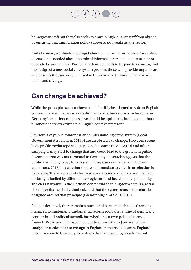

homegrown staff but that also seeks to draw in high-quality staff from abroad by ensuring that immigration policy supports, not weakens, the sector.

And of course, we should not forget about the informal workforce. An explicit discussion is needed about the role of informal carers and adequate support needs to be put in place. Particular attention needs to be paid to ensuring that the design of a new social care system protects those who provide unpaid care and ensures they are not penalised in future when it comes to their own care needs and savings.

### **Can change be achieved?**

While the principles set out above could feasibly be adapted to suit an English context, there still remains a question as to whether reform *can* be achieved. Germany's experience suggests we should be optimistic, but it is clear that a number of barriers exist in the English context at present.

Low levels of public awareness and understanding of the system (Local Government Association, 2018b) are an obstacle to change. However, recent high-profile media reports (e.g. BBC's Panorama in May 2019) and other campaigns may start to change that and could lead to the growth in public discontent that was instrumental in Germany. Research suggests that the public are willing to pay for a system if they can see the benefit (Bottery and others, 2018) but whether that would translate to votes in an election is debatable. There is a lack of clear narrative around social care and that lack of clarity is fuelled by different ideologies around individual responsibility. The clear narrative in the German debate was that long-term care is a social risk rather than an individual risk, and that the system should therefore be designed around that principle (Glendinning and Wills, 2018).

At a political level, there remain a number of barriers to change. Germany managed to implement fundamental reform soon after a time of significant economic and political turmoil, but whether our own political turmoil (namely Brexit and the associated political uncertainty) proves to be a catalyst or confounder to change in England remains to be seen. England, in comparison to Germany, is perhaps disadvantaged by its adversarial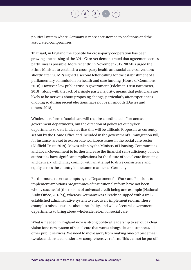

political system where Germany is more accustomed to coalitions and the associated compromises.

That said, in England the appetite for cross-party cooperation has been growing: the passing of the 2014 Care Act demonstrated that agreement across party lines is possible. More recently, in November 2017, 90 MPs urged the Prime Minister to establish a cross-party health and social care convention; shortly after, 98 MPs signed a second letter calling for the establishment of a parliamentary commission on health and care funding [\(House of Commons,](https://www.parliament.uk/documents/commons-committees/liaison/correspondence/Correspondence-with-the-Prime-Minister-re-parliamentary-commission-health-social-care-18-3-2018.pdf)  [2018\)](https://www.parliament.uk/documents/commons-committees/liaison/correspondence/Correspondence-with-the-Prime-Minister-re-parliamentary-commission-health-social-care-18-3-2018.pdf). However, low public trust in government (Edelman Trust Barometer, 2018), along with the lack of a single party majority, means that politicians are likely to be nervous about proposing change, particularly after experiences of doing so during recent elections have not been smooth (Davies and others, 2018).

Wholesale reform of social care will require coordinated effort across government departments, but the direction of policy set out by key departments to date indicates that this will be difficult. Proposals as currently set out by the Home Office and included in the government's Immigration Bill, for instance, are set to exacerbate workforce issues in the social care sector (Nuffield Trust, 2019). Moves taken by the Ministry of Housing, Communities and Local Government to further increase the financial self-sufficiency of local authorities have significant implications for the future of social care financing and delivery which may conflict with an attempt to drive consistency and equity across the country in the same manner as Germany.

Furthermore, recent attempts by the Department for Work and Pensions to implement ambitious programmes of institutional reform have not been wholly successful (the roll out of universal credit being one example (National Audit Office, 2018b)), whereas Germany was already equipped with a wellestablished administrative system to effectively implement reform. These examples raise questions about the ability, and will, of central government departments to bring about wholesale reform of social care.

What is needed in England now is strong political leadership to set out a clear vision for a new system of social care that works alongside, and supports, all other public services. We need to move away from making one-off piecemeal tweaks and, instead, undertake comprehensive reform. This cannot be put off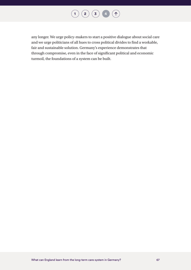

any longer. We urge policy-makers to start a positive dialogue about social care and we urge politicians of all hues to cross political divides to find a workable, fair and sustainable solution. Germany's experience demonstrates that through compromise, even in the face of significant political and economic turmoil, the foundations of a system can be built.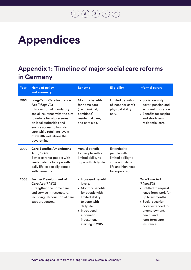## $\begin{pmatrix} 1 \end{pmatrix}$  $\begin{pmatrix} 1 \end{pmatrix}$  $\begin{pmatrix} 1 \end{pmatrix}$   $\begin{pmatrix} 2 \end{pmatrix}$  $\begin{pmatrix} 2 \end{pmatrix}$  $\begin{pmatrix} 2 \end{pmatrix}$   $\begin{pmatrix} 3 \end{pmatrix}$  $\begin{pmatrix} 3 \end{pmatrix}$  $\begin{pmatrix} 3 \end{pmatrix}$   $\begin{pmatrix} 4 \end{pmatrix}$  $\begin{pmatrix} 4 \end{pmatrix}$  $\begin{pmatrix} 4 \end{pmatrix}$   $\begin{pmatrix} 1 \end{pmatrix}$

# **Appendices**

## **Appendix 1: Timeline of major social care reforms in Germany**

| Year | <b>Name of policy</b><br>and summary                                                                                                                                                                                                                                                | <b>Benefits</b>                                                                                                                                                                            | <b>Eligibility</b>                                                                                                   | <b>Informal carers</b>                                                                                                                                                                                           |
|------|-------------------------------------------------------------------------------------------------------------------------------------------------------------------------------------------------------------------------------------------------------------------------------------|--------------------------------------------------------------------------------------------------------------------------------------------------------------------------------------------|----------------------------------------------------------------------------------------------------------------------|------------------------------------------------------------------------------------------------------------------------------------------------------------------------------------------------------------------|
| 1995 | <b>Long-Term Care Insurance</b><br>Act (PflegeVG)<br>Introduction of mandatory<br>social insurance with the aim<br>to reduce fiscal pressures<br>on local authorities and<br>ensure access to long-term<br>care while retaining levels<br>of wealth well above the<br>poverty line. | Monthly benefits<br>for home care<br>(cash, in-kind,<br>combined)<br>residential care,<br>and care aids.                                                                                   | Limited definition<br>of 'need for care':<br>physical ability<br>only.                                               | • Social security<br>cover: pension and<br>accident insurance.<br>• Benefits for respite<br>and short-term<br>residential care.                                                                                  |
| 2002 | <b>Care Benefits Amendment</b><br>Act (PHEG)<br>Better care for people with<br>limited ability to cope with<br>daily life, especially people<br>with dementia.                                                                                                                      | Annual benefit<br>for people with a<br>limited ability to<br>cope with daily life.                                                                                                         | <b>Extended to</b><br>people with<br>limited ability to<br>cope with daily<br>life and high need<br>for supervision. |                                                                                                                                                                                                                  |
| 2008 | <b>Further Development of</b><br>Care Act (PfWG)<br>Strengthen the home care<br>and service infrastructure,<br>including introduction of care<br>support centres.                                                                                                                   | • Increased benefit<br>levels.<br>• Monthly benefits<br>for people with<br>limited ability<br>to cope with<br>daily life.<br>• Introduced<br>automatic<br>indexation,<br>starting in 2015. |                                                                                                                      | <b>Care Time Act</b><br>(PflegeZG)<br>• Entitled to request<br>leave from work for<br>up to six months.<br>• Social security<br>cover extended to<br>unemployment,<br>health and<br>long-term care<br>insurance. |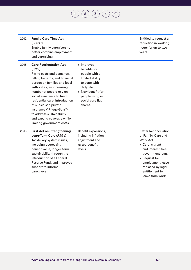**[1](#page-3-0) [2](#page-8-0) [3](#page-20-0) [4](#page-62-0)**

| 2012 | <b>Family Care Time Act</b><br>(FPfZG)<br>Enable family caregivers to<br>better combine employment<br>and caregiving.                                                                                                                                                                                                                                                                                         |                                                                                                                                                                       | Entitled to request a<br>reduction in working<br>hours for up to two<br>years.                                                                                                                                                     |
|------|---------------------------------------------------------------------------------------------------------------------------------------------------------------------------------------------------------------------------------------------------------------------------------------------------------------------------------------------------------------------------------------------------------------|-----------------------------------------------------------------------------------------------------------------------------------------------------------------------|------------------------------------------------------------------------------------------------------------------------------------------------------------------------------------------------------------------------------------|
| 2013 | <b>Care Reorientation Act</b><br>(PNG)<br>Rising costs and demands,<br>falling benefits, and financial<br>burden on families and local<br>authorities; an increasing<br>number of people rely on<br>social assistance to fund<br>residential care. Introduction<br>of subsidised private<br>insurance ("Pflege-Bahr")<br>to address sustainability<br>and expand coverage while<br>limiting government costs. | • Improved<br>benefits for<br>people with a<br>limited ability<br>to cope with<br>daily life.<br>• New benefit for<br>people living in<br>social care flat<br>shares. |                                                                                                                                                                                                                                    |
| 2015 | <b>First Act on Strengthening</b><br>Long-Term Care (PSG I)<br>Tackle key system issues,<br>including decreasing<br>benefit value, longer-term<br>sustainability through the<br>introduction of a Federal<br>Reserve Fund, and improved<br>support to informal<br>caregivers.                                                                                                                                 | Benefit expansions,<br>including inflation<br>adjustment and<br>raised benefit<br>levels.                                                                             | <b>Better Reconciliation</b><br>of Family, Care and<br><b>Work Act</b><br>• Carer's grant<br>and interest-free<br>government loan.<br>• Request for<br>employment leave<br>replaced by legal<br>entitlement to<br>leave from work. |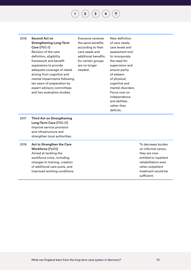**[2](#page-8-0)**  $\binom{1}{3}$  $\binom{1}{3}$  $\binom{1}{3}$  $\binom{1}{3}$  $\binom{1}{3}$ 

2016 **Second Act on Strengthening Long-Term Care (***PSG II***)** Revision of the care definition, eligibility framework and benefit expansions to provide adequate coverage of needs arising from cognitive and mental impairments following ten years of preparation by expert advisory committees and two evaluation studies.

Everyone receives the same benefits according to their care needs and additional benefits for certain groups are no longer needed.

New definition of care needs, care levels and assessment tool to incorporate the need for supervision and ensure parity of esteem of physical, cognitive and mental disorders. Focus now on independence and abilities rather than deficits.

2017 **Third Act on Strengthening Long-Term Care (***PSG III***)** Improve service provision and infrastructure and strengthen local authorities.

2019 **Act to Strengthen the Care Workforce (***PpSG***)** Aimed at tackling the workforce crisis, including changes to training, creation of additional care posts, and improved working conditions. To decrease burden on informal carers, they are now entitled to inpatient rehabilitation even when outpatient treatment would be sufficient.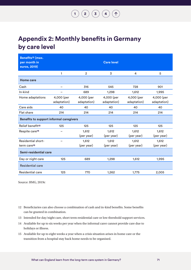#### $\begin{pmatrix} 1 \end{pmatrix} \begin{pmatrix} 2 \end{pmatrix} \begin{pmatrix} 3 \end{pmatrix} \begin{pmatrix} 4 \end{pmatrix}$  $\begin{pmatrix} 1 \end{pmatrix} \begin{pmatrix} 2 \end{pmatrix} \begin{pmatrix} 3 \end{pmatrix} \begin{pmatrix} 4 \end{pmatrix}$  $\begin{pmatrix} 1 \end{pmatrix} \begin{pmatrix} 2 \end{pmatrix} \begin{pmatrix} 3 \end{pmatrix} \begin{pmatrix} 4 \end{pmatrix}$  $\begin{pmatrix} 1 \end{pmatrix} \begin{pmatrix} 2 \end{pmatrix} \begin{pmatrix} 3 \end{pmatrix} \begin{pmatrix} 4 \end{pmatrix}$  $\begin{pmatrix} 1 \end{pmatrix} \begin{pmatrix} 2 \end{pmatrix} \begin{pmatrix} 3 \end{pmatrix} \begin{pmatrix} 4 \end{pmatrix}$  $\begin{pmatrix} 1 \end{pmatrix} \begin{pmatrix} 2 \end{pmatrix} \begin{pmatrix} 3 \end{pmatrix} \begin{pmatrix} 4 \end{pmatrix}$  $\begin{pmatrix} 1 \end{pmatrix} \begin{pmatrix} 2 \end{pmatrix} \begin{pmatrix} 3 \end{pmatrix} \begin{pmatrix} 4 \end{pmatrix}$  $\begin{pmatrix} 1 \end{pmatrix} \begin{pmatrix} 2 \end{pmatrix} \begin{pmatrix} 3 \end{pmatrix} \begin{pmatrix} 4 \end{pmatrix}$  $\begin{pmatrix} 1 \end{pmatrix} \begin{pmatrix} 2 \end{pmatrix} \begin{pmatrix} 3 \end{pmatrix} \begin{pmatrix} 4 \end{pmatrix}$  $\left( \bigwedge$

## **Appendix 2: Monthly benefits in Germany by care level**

| Benefits <sup>12</sup> (max.<br>per month in<br>euros, 2019) |                           |                           | <b>Care level</b>         |                           |                           |  |  |
|--------------------------------------------------------------|---------------------------|---------------------------|---------------------------|---------------------------|---------------------------|--|--|
|                                                              | 1                         | $\overline{2}$            | 3                         | 4                         | 5                         |  |  |
| <b>Home care</b>                                             |                           |                           |                           |                           |                           |  |  |
| Cash                                                         | $\overline{\phantom{0}}$  | 316                       | 545                       | 728                       | 901                       |  |  |
| In-kind                                                      |                           | 689                       | 1,298                     | 1,612                     | 1,995                     |  |  |
| Home adaptations                                             | 4,000 (per<br>adaptation) | 4,000 (per<br>adaptation) | 4,000 (per<br>adaptation) | 4,000 (per<br>adaptation) | 4,000 (per<br>adaptation) |  |  |
| Care aids                                                    | 40                        | 40                        | 40                        | 40                        | 40                        |  |  |
| Flat share                                                   | 214                       | 214                       | 214                       | 214                       | 214                       |  |  |
| <b>Benefits to support informal caregivers</b>               |                           |                           |                           |                           |                           |  |  |
| Relief benefit <sup>13</sup>                                 | 125                       | 125                       | 125                       | 125                       | 125                       |  |  |
| Respite care <sup>14</sup>                                   |                           | 1,612                     | 1,612                     | 1,612                     | 1,612                     |  |  |
|                                                              |                           | (per year)                | (per year)                | (per year)                | (per year)                |  |  |
| <b>Residential short-</b>                                    |                           | 1,612                     | 1,612                     | 1,612                     | 1,612                     |  |  |
| term care <sup>15</sup>                                      |                           | (per year)                | (per year)                | (per year)                | (per year)                |  |  |
| Semi-residential care                                        |                           |                           |                           |                           |                           |  |  |
| Day or night care                                            | 125                       | 689                       | 1,298                     | 1,612                     | 1,995                     |  |  |
| Residential care                                             |                           |                           |                           |                           |                           |  |  |
| Residential care                                             | 125                       | 770                       | 1,262                     | 1,775                     | 2,005                     |  |  |

Source: BMG, 2019c

- 12 Beneficiaries can also choose a combination of cash and in-kind benefits. Some benefits can be granted in combination.
- 13 Intended for day/night care, short term residential care or low threshold support services.
- 14 Available for up to six weeks per year when the informal carer cannot provide care due to holidays or illness.
- 15 Available for up to eight weeks a year when a crisis situation arises in home care or the transition from a hospital stay back home needs to be organised.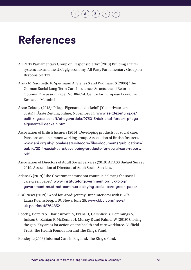## **References**

All Party Parliamentary Group on Responsible Tax (2018) Building a fairer system: Tax and the UK's gig economy. All Party Parliamentary Group on Responsible Tax.

**[2](#page-8-0)**  $\left(\frac{1}{3}\right)$  $\left(\frac{1}{3}\right)$  $\left(\frac{1}{3}\right)$  $\left(\frac{1}{3}\right)$  $\left(\frac{1}{3}\right)$ 

- Arntz M, Sacchetto R, Spermann A, Steffes S and Widmaier S (2006) 'The German Social Long-Term Care Insurance: Structure and Reform Options' Discussion Paper No. 06-074. Centre for European Economic Research, Mannheim.
- Ärzte Zeitung (2018) 'Pflege-Eigenanteil deckeln!' ['Cap private care costs!']. Ärzte Zeitung online, November 14. [www.aerztezeitung.de/](https://www.aerztezeitung.de/politik_gesellschaft/pflege/article/976016/dak-chef-fordert-pflege-eigenanteil-deckeln.html) [politik\\_gesellschaft/pflege/article/976016/dak-chef-fordert-pflege](https://www.aerztezeitung.de/politik_gesellschaft/pflege/article/976016/dak-chef-fordert-pflege-eigenanteil-deckeln.html)[eigenanteil-deckeln.html](https://www.aerztezeitung.de/politik_gesellschaft/pflege/article/976016/dak-chef-fordert-pflege-eigenanteil-deckeln.html).
- Association of British Insurers (2014) Developing products for social care. Pensions and insurance working group. Association of British Insurers. [www.abi.org.uk/globalassets/sitecore/files/documents/publications/](http://www.abi.org.uk/globalassets/sitecore/files/documents/publications/public/2014/social-care/developing-products-for-social-care-report.pdf) [public/2014/social-care/developing-products-for-social-care-report.](http://www.abi.org.uk/globalassets/sitecore/files/documents/publications/public/2014/social-care/developing-products-for-social-care-report.pdf) [pdf](http://www.abi.org.uk/globalassets/sitecore/files/documents/publications/public/2014/social-care/developing-products-for-social-care-report.pdf)
- Association of Directors of Adult Social Services (2019) ADASS Budget Survey 2019. Association of Directors of Adult Social Services.
- Atkins G (2019) 'The Government must not continue delaying the social care green paper'. [www.instituteforgovernment.org.uk/blog/](http://www.instituteforgovernment.org.uk/blog/government-must-not-continue-delaying-social-care-green-paper) [government-must-not-continue-delaying-social-care-green-paper](http://www.instituteforgovernment.org.uk/blog/government-must-not-continue-delaying-social-care-green-paper)
- BBC News (2019) 'Word for Word: Jeremy Hunt Interview with BBC's Laura Kuenssberg.' BBC News, June 25. [www.bbc.com/news/](http://www.bbc.com/news/uk-politics-48764832) [uk-politics-48764832](http://www.bbc.com/news/uk-politics-48764832)
- Beech J, Bottery S, Charlesworth A, Evans H, Gershlick B, Hemmings N, Imison C, Kahtan P, McKenna H, Murray R and Palmer W (2019) Closing the gap: Key areas for action on the health and care workforce. Nuffield Trust, The Health Foundation and The King's Fund.

Beesley L (2006) Informal Care in England. The King's Fund.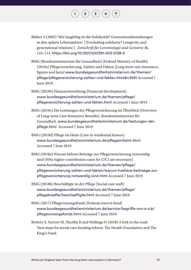Blüher S (2003) 'Wie langlebig ist die Solidarität? Generationsbeziehungen in den späten Lebensjahren' ['Everlasting solidarity? Longevity and generational relations']. *Zeitschrift für Gerontologie und Geriatrie* 36, 110–114. <https://doi.org/10.1007/s00391-003-0138-5>

- BMG (Bundesministerium für Gesundheit) [Federal Ministry of Health] (2019a) Pflegeversicherung, Zahlen und Fakten [Long term care insurance, figures and facts] www.bundesgesundheitsministerium.de/themen/ pflege/pflegeversicherung-zahlen-und-fakten.html#c3291 Accessed 7 June 2019.
- BMG (2019b) Finanzentwicklung [Financial development] [www.bundesgesundheitsministerium.de/themen/pflege/](http://www.bundesgesundheitsministerium.de/themen/pflege/pflegeversicherung-zahlen-und-fakten.html) [pflegeversicherung-zahlen-und-fakten.html](http://www.bundesgesundheitsministerium.de/themen/pflege/pflegeversicherung-zahlen-und-fakten.html) Accessed 7 June 2019
- BMG (2019c) Die Leistungen der Pflegeversicherung im Überblick [Overview of Long-term Care Insurance Benefits]. Bundesministerium für Gesundheit. [www.bundesgesundheitsministerium.de/leistungen-der](http://www.bundesgesundheitsministerium.de/leistungen-der-pflege.html)[pflege.html](http://www.bundesgesundheitsministerium.de/leistungen-der-pflege.html) Accessed 7 June 2019
- BMG (2019d) Pflege im Heim [Care in residential homes]. [www.bundesgesundheitsministerium.de/pflegeimheim.html](http://www.bundesgesundheitsministerium.de/pflegeimheim.html) Accessed 7 June 2019
- BMG (2018a) Warum höhere Beiträge zur Pflegeversicherung notwendig sind [Why higher contribution rates for LTCI are necessary] [www.bundesgesundheitsministerium.de/themen/pflege/](http://www.bundesgesundheitsministerium.de/themen/pflege/pflegeversicherung-zahlen-und-fakten/warum-hoehere-beitraege-zur-pflegeversicherung-notwendig-sind.html) [pflegeversicherung-zahlen-und-fakten/warum-hoehere-beitraege-zur](http://www.bundesgesundheitsministerium.de/themen/pflege/pflegeversicherung-zahlen-und-fakten/warum-hoehere-beitraege-zur-pflegeversicherung-notwendig-sind.html)[pflegeversicherung-notwendig-sind.html](http://www.bundesgesundheitsministerium.de/themen/pflege/pflegeversicherung-zahlen-und-fakten/warum-hoehere-beitraege-zur-pflegeversicherung-notwendig-sind.html) Accessed 7 June 2019
- BMG (2018b) Beschäftigte in der Pflege [Social care staff] [www.bundesgesundheitsministerium.de/themen/pflege/](http://www.bundesgesundheitsministerium.de/themen/pflege/pflegekraefte/beschaeftigte.html) [pflegekraefte/beschaeftigte.html](http://www.bundesgesundheitsministerium.de/themen/pflege/pflegekraefte/beschaeftigte.html) Accessed 7 June 2019
- BMG (2017) Pflegevorsorgefonds [Federal reserve fund] [www.bundesgesundheitsministerium.de/service/begriffe-von-a-z/p/](http://www.bundesgesundheitsministerium.de/service/begriffe-von-a-z/p/pflegevorsorgefonds.html) [pflegevorsorgefonds.html](http://www.bundesgesundheitsministerium.de/service/begriffe-von-a-z/p/pflegevorsorgefonds.html) Accessed 7 June 2019
- Bottery S, Varrow M, Thorlby R and Wellings D (2018) A fork in the road: Next steps for social care funding reform. The Health Foundation and The King's Fund.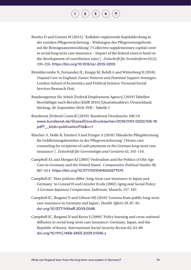Bowles D and Greiner W (2015). 'Kollektiv-ergänzende Kapitaldeckung in der sozialen Pflegeversicherung – Wirkungen des Pflegevorsorgefonds auf die Beitragssatzentwicklung' ['Collective supplementary capital cover in social long term care insurance – Impact of the federal reserve fund on the development of contribution rates']. *Zeitschrift für Sozialreform* 61(2), 199–226. <https://doi.org/10.1515/zsr-2015-0205>

 $\left( \begin{array}{c} 2 \end{array} \right) \left( \begin{array}{c} 3 \end{array} \right) \left( \begin{array}{c} 4 \end{array} \right)$  $\left( \begin{array}{c} 2 \end{array} \right) \left( \begin{array}{c} 3 \end{array} \right) \left( \begin{array}{c} 4 \end{array} \right)$  $\left( \begin{array}{c} 2 \end{array} \right) \left( \begin{array}{c} 3 \end{array} \right) \left( \begin{array}{c} 4 \end{array} \right)$  $\left( \begin{array}{c} 2 \end{array} \right) \left( \begin{array}{c} 3 \end{array} \right) \left( \begin{array}{c} 4 \end{array} \right)$  $\left( \begin{array}{c} 2 \end{array} \right) \left( \begin{array}{c} 3 \end{array} \right) \left( \begin{array}{c} 4 \end{array} \right)$  $\left( \begin{array}{c} 2 \end{array} \right) \left( \begin{array}{c} 3 \end{array} \right) \left( \begin{array}{c} 4 \end{array} \right)$  $\left( \begin{array}{c} 2 \end{array} \right) \left( \begin{array}{c} 3 \end{array} \right) \left( \begin{array}{c} 4 \end{array} \right)$ 

Brimblecombe N, Fernandez JL, Knapp M, Rehill A and Wittenberg R (2018) *Unpaid Care in England: Future Patterns and Potential Support Strategies*. London School of Economics and Political Science, Personal Social Services Research Unit.

- Bundesagentur für Arbeit [Federal Employment Agency] (2019) Tabellen Beschäftigte nach Berufen (KldB 2010) (Quartalszahlen), Deutschland, Stichtag: 30. September 2018. SVB – Tabelle I.
- Bundesrat [Federal Council] (2019). Bundesrat Drucksache 106/19. [www.bundesrat.de/SharedDocs/drucksachen/2019/0101-0200/106-19.](https://www.bundesrat.de/SharedDocs/drucksachen/2019/0101-0200/106-19.pdf?__blob=publicationFile&v=1) [pdf?\\_\\_blob=publicationFile&v=1](https://www.bundesrat.de/SharedDocs/drucksachen/2019/0101-0200/106-19.pdf?__blob=publicationFile&v=1).
- Büscher A, Holle B, Emmert S and Fringer A (2010) 'Häusliche Pflegeberatung für Geldleistungsbezieher in der Pflegeversicherung' ['Home care counseling for recipients of cash payments in the German long-term care insurance']. *Zeitschrift für Gerontologie und Geriatrie* 43, 103–110.
- Campbell AL and Morgan KJ (2005) 'Federalism and the Politics of Old-Age Care in Germany and the United States'. *Comparative Political Studies* 38, 887–914. <https://doi.org/10.1177/0010414005277575>
- Campbell JC 'How policies differ: long-term care insurance in Japan and Germany' in Conrad H and Lützeler R eds (2002) *Aging and Social Policy: A German-Japanese Comparison*. Iudicium, Munich, 157–187.
- Campbell JC, Ikegami N and Gibson MJ (2010) 'Lessons from public long-term care insurance in Germany and Japan', *Health Affairs* 29, 87–95. [doi.org/10.1377/hlthaff.2009.0548](https://doi.org/10.1377/hlthaff.2009.0548)
- Campbell JC, Ikegami N and Kwon S (2009) 'Policy learning and cross-national diffusion in social long-term care insurance: Germany, Japan, and the Republic of Korea', *International Social Security Review* 62, 63–80. [doi.org/10.1111/j.1468-246X.2009.01346.x](https://doi.org/10.1111/j.1468-246X.2009.01346.x)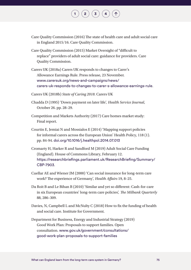Care Quality Commission (2016) The state of health care and adult social care in England 2015/16. Care Quality Commission.

- Care Quality Commission (2015) Market Oversight of "difficult to replace" providers of adult social care: guidance for providers. Care Quality Commission.
- Carers UK (2018a) Carers UK responds to changes to Carer's Allowance Earnings Rule. Press release, 23 November. [www.carersuk.org/news-and-campaigns/news/](https://www.carersuk.org/news-and-campaigns/news/carers-uk-responds-to-changes-to-carer-s-allowance-earnings-rule) [carers-uk-responds-to-changes-to-carer-s-allowance-earnings-rule](https://www.carersuk.org/news-and-campaigns/news/carers-uk-responds-to-changes-to-carer-s-allowance-earnings-rule).
- Carers UK (2018b) *State of Caring 2018*. Carers UK
- Chadda D (1995) 'Down payment on later life', *Health Service Journal*, October 26. pp. 28–29.
- Competition and Markets Authority (2017) Care homes market study: Final report.
- Courtin E, Jemiai N and Mossialos E (2014) 'Mapping support policies for informal carers across the European Union' Health Policy, 118 (1). pp. 84-94. [doi.org/10.1016/j.healthpol.2014.07.013](https://doi.org/10.1016/j.healthpol.2014.07.013)
- Cromarty H, Harker R and Sandford M (2019) Adult Social Care Funding (England). House of Commons Library, February 12. [https://researchbriefings.parliament.uk/ResearchBriefing/Summary/](https://researchbriefings.parliament.uk/ResearchBriefing/Summary/CBP-7903) [CBP-7903](https://researchbriefings.parliament.uk/ResearchBriefing/Summary/CBP-7903).
- Cuellar AE and Wiener JM (2000) 'Can social insurance for long-term care work? The experience of Germany', *Health Affairs* 19, 8–25.
- Da Roit B and Le Bihan B (2010) 'Similar and yet so different: Cash-for-care in six European countries' long-term care policies', *The Milbank Quarterly* 88, 286–309.
- Davies, N, Campbell L and McNulty C (2018) How to fix the funding of health and social care. Institute for Government.
- Department for Business, Energy and Industrial Strategy (2019) Good Work Plan: Proposals to support families. Open consultation. [www.gov.uk/government/consultations/](https://www.gov.uk/government/consultations/good-work-plan-proposals-to-support-families) [good-work-plan-proposals-to-support-families](https://www.gov.uk/government/consultations/good-work-plan-proposals-to-support-families)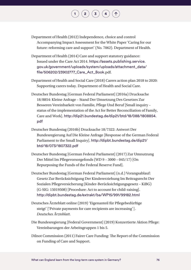Department of Health (2012) Independence, choice and control Accompanying Impact Assessment for the White Paper 'Caring for our future: reforming care and support' (No. 7062). Department of Health.

- Department of Health (2014) Care and support statutory guidance: Issued under the Care Act 2014. [https://assets.publishing.service.](https://assets.publishing.service.gov.uk/government/uploads/system/uploads/attachment_data/file/506202/23902777_Care_Act_Book.pdf) [gov.uk/government/uploads/system/uploads/attachment\\_data/](https://assets.publishing.service.gov.uk/government/uploads/system/uploads/attachment_data/file/506202/23902777_Care_Act_Book.pdf) [file/506202/23902777\\_Care\\_Act\\_Book.](https://assets.publishing.service.gov.uk/government/uploads/system/uploads/attachment_data/file/506202/23902777_Care_Act_Book.pdf)pdf.
- Department of Health and Social Care (2018) Carers action plan 2018 to 2020: Supporting carers today. Department of Health and Social Care.
- Deutscher Bundestag [German Federal Parliament] (2016a) Drucksache 18/8854: Kleine Anfrage – Stand Der Umsetzung Des Gesetzes Zur Besseren Vereinbarkeit von Familie, Pflege Und Beruf [Small inquiry – status of the implementation of the Act for Better Reconciliation of Family, Care and Work]. [http://dip21.bundestag.de/dip21/btd/18/088/1808854.](http://dip21.bundestag.de/dip21/btd/18/088/1808854.pdf) [pdf](http://dip21.bundestag.de/dip21/btd/18/088/1808854.pdf)
- Deutscher Bundestag (2016b) Drucksache 18/7322: Antwort Der Bundesregierung Auf Die Kleine Anfrage [Response of the German Federal Parliament to the Small Inquiry]. [http://dipbt.bundestag.de/dip21/](http://dipbt.bundestag.de/dip21/btd/18/073/1807322.pdf) [btd/18/073/1807322.pdf](http://dipbt.bundestag.de/dip21/btd/18/073/1807322.pdf)
- Deutscher Bundestag [German Federal Parliament] (2017) Zur Umnutzung Der Mittel Im Pflegevorsorgefonds (WD 9 – 3000 – 045/17) [On Repurposing the Funds of the Federal Reserve Fund].
- Deutscher Bundestag [German Federal Parliament] (n.d.) Vorangsablauf: Gesetz Zur Berücksichtigung Der Kindererziehung Im Beitragsrecht Der Sozialen Pflegeversicherung (Kinder-Berücksichtigungsgesetz – KiBG) (G-SIG: 15019508) [Procedure: Act to account for child-raising]. <http://dipbt.bundestag.de/extrakt/ba/WP15/991/99182.html>
- Deutsches Ärzteblatt online (2019) 'Eigenanteil für Pflegebedürftige steigt' ['Private payments for care recipients are increasing']. *Deutsches Ärzteblatt*.
- Die Bundesregierung [Federal Government] (2019) Konzertierte Aktion Pflege: Vereinbarungen der Arbeitsgruppen 1 bis 5.
- Dilnot Commission (2011) Fairer Care Funding: The Report of the Commission on Funding of Care and Support.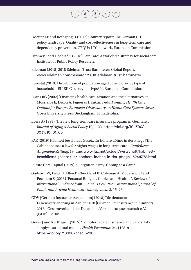

- Doetter LF and Rothgang H (2017) Country report: The German LTC policy landscape, Quality and cost-effectiveness in long-term care and dependency prevention. CEQUA LTC network, European Commission.
- Dromey J and Hochlaf D (2018) Fair Care: A workforce strategy for social care. Institute for Public Policy Research.
- Edelman (2018) 2018 Edelman Trust Barometer: Global Report. [www.edelman.com/research/2018-edelman-trust-barometer](http://www.edelman.com/research/2018-edelman-trust-barometer)
- Eurostat (2019) Distribution of population aged 65 and over by type of household – EU-SILC survey [ilc\_lvps30]. European Commission.
- Evans RG (2002) 'Financing health care: taxation and the alternatives' in Mossialos E, Dixon A, Figueras J, Kutzin J eds, *Funding Health Care: Options for Europe, European Observatory on Health Care Systems Series*. Open University Press, Buckingham, Philadelphia.
- Evers A (1998) 'The new long-term care insurance program in Germany', *Journal of Aging & Social Policy* 10, 1–22. [https://doi.org/10.1300/](https://doi.org/10.1300/J031v10n01_05) [J031v10n01\\_05](https://doi.org/10.1300/J031v10n01_05)
- FAZ (2019) Kabinett beschließt Gesetz für höhere Löhne in der Pflege [The Cabinet passes a law for higher wages in long-term care]. *Frankfurter Allgemeine Zeitung*, 19 June. [www.faz.net/aktuell/wirtschaft/kabinett](http://www.faz.net/aktuell/wirtschaft/kabinett-beschliesst-gesetz-fuer-hoehere-loehne-in-der-pflege-16244372.html)[beschliesst-gesetz-fuer-hoehere-loehne-in-der-pflege-16244372.html](http://www.faz.net/aktuell/wirtschaft/kabinett-beschliesst-gesetz-fuer-hoehere-loehne-in-der-pflege-16244372.html)
- Future Care Capital (2019) A Forgotten Army: Coping as a Carer.
- Gadsby EW, Degar J, Allen P, Checkland K, Coleman A, Mcdermott I and Peckham S (2013) 'Personal Budgets, Choice and Health: A Review of *International Evidence from 11 OECD Countries', International Journal of Public and Private Health care Management* 3, 15–28.
- GDV [German Insurance Association] (2018) Die deutsche Lebensversicherung in Zahlen 2018 [German life insurance in numbers 2018]. Gesamtverband der Deutschen Versicherungswirtschaft e.V. (GDV), Berlin.
- Geyer J and Korfhage T (2015) 'Long-term care insurance and carers' labor supply: a structural model', *Health Economics* 24, 1178–91. <https://doi.org/10.1002/hec.3200>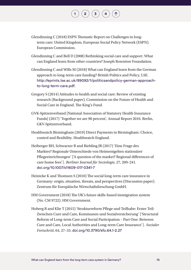Glendinning C (2018) ESPN Thematic Report on Challenges in longterm care: United Kingdom, European Social Policy Network (ESPN). European Commission.

- Glendinning C and Bell D (2008) Rethinking social care and support: What can England learn from other countries? Joseph Rowntree Foundation.
- Glendinning C and Wills M (2018) What can England learn from the German approach to long-term care funding? British Politics and Policy, LSE. [http://eprints.lse.ac.uk/89092/1/politicsandpolicy-german-approach](http://eprints.lse.ac.uk/89092/1/politicsandpolicy-german-approach-to-long-term-care.pdf)[to-long-term-care.pdf](http://eprints.lse.ac.uk/89092/1/politicsandpolicy-german-approach-to-long-term-care.pdf).
- Gregory S (2014) Attitudes to health and social care: Review of existing research (Background paper), Commission on the Future of Health and Social Care in England. The King's Fund.
- GVK-Spitzenverband [National Association of Statutory Health Insurance Funds] (2017) 'Together we are 90 percent', Annual Report 2016. Berlin, GKV-Spitzenverband.
- Healthwatch Birmingham (2019) Direct Payments in Birmingham: Choice, control and flexibility. Healthwatch England.
- Heiberger RH, Schwarzer B and Riebling JR (2017) 'Eine Frage des Marktes? Regionale Unterschiede von Heimentgelten stationärer Pflegeeinrichtungen' ['A question of the market? Regional differences of care home fees']. *Berliner Journal für Soziologie*, 27, 209–241. [doi.org/10.1007/s11609-017-0341-7](https://doi.org/10.1007/s11609-017-0341-7)
- Heinicke K and Thomsen S (2010) The social long-term care insurance in Germany: origin, situation, threats, and perspectives (Discussion paper). Zentrum für Europäische Wirtschaftsforschung GmbH.
- HM Government (2018) The UK's future skills-based immigration system (No. CM 9722). HM Government.
- Hoberg R and Klie T (2015) 'Strukturreform Pflege und Teilhabe: Erster Teil: Zwischen Cure und Care, Kommunen und Sozialversicherung' ['Structural Reform of Long-term Care and Social Participation – Part One: Between Cure and Care, Local Authorities and Long-term Care Insurance']. *Sozialer Fortschritt*, 64, 27–33. [doi.org/10.3790/sfo.64.1-2.27](https://doi.org/10.3790/sfo.64.1-2.27)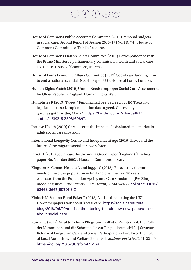House of Commons Public Accounts Committee (2016) Personal budgets in social care. Second Report of Session 2016–17 (No. HC 74). House of Commons Committee of Public Accounts.

- House of Commons Liaison Select Committee (2018) Correspondence with the Prime Minister re parliamentary commission health and social care 18-3-2018. House of Commons, March 23.
- House of Lords Economic Affairs Committee (2019) Social care funding: time to end a national scandal (No. HL Paper 392). House of Lords, London.
- Human Rights Watch (2019) Unmet Needs: Improper Social Care Assessments for Older People in England. Human Rights Watch.
- Humphries R (2019) Tweet: "Funding had been agreed by HM Treasury, legislation passed, implementation date agreed. Closest any govt has got". Twitter, May 24. [https://twitter.com/RichardatKF/](https://twitter.com/RichardatKF/status/1131931513598160897) [status/1131931513598160897](https://twitter.com/RichardatKF/status/1131931513598160897).
- Incisive Health (2019) Care deserts: the impact of a dysfunctional market in adult social care provision.
- International Longevity Centre and Independent Age (2016) Brexit and the future of the migrant social care workforce.
- Jarrett T (2019) Social care: forthcoming Green Paper (England) (Briefing paper No. Number 8002). House of Commons Library.
- Kingston A, Comas-Herrera A and Jagger C (2018) 'Forecasting the care needs of the older population in England over the next 20 years: estimates from the Population Ageing and Care Simulation (PACSim) modelling study', *The Lancet Public Health*, 3, e447–e455. [doi.org/10.1016/](https://doi.org/10.1016/S2468-2667(18)30118-X) [S2468-2667\(18\)30118-X](https://doi.org/10.1016/S2468-2667(18)30118-X)
- Kinloch K, Semino E and Baker P (2018) A crisis threatening the UK? How newspapers talk about 'social care.' [https://socialcarefuture.](https://socialcarefuture.blog/2018/06/22/a-crisis-threatening-the-uk-how-newspapers-talk-about-social-care/) [blog/2018/06/22/a-crisis-threatening-the-uk-how-newspapers-talk](https://socialcarefuture.blog/2018/06/22/a-crisis-threatening-the-uk-how-newspapers-talk-about-social-care/)[about-social-care](https://socialcarefuture.blog/2018/06/22/a-crisis-threatening-the-uk-how-newspapers-talk-about-social-care/)
- Künzel G (2015) 'Strukturreform Pflege und Teilhabe: Zweiter Teil: Die Rolle der Kommunen und die Schnittstelle zur Eingliederungshilfe' ['Structural Reform of Long-term Care and Social Participation – Part Two: The Role of Local Authorities and Welfare Benefits']. *Sozialer Fortschritt*, 64, 33–40. <https://doi.org/10.3790/sfo.64.1-2.33>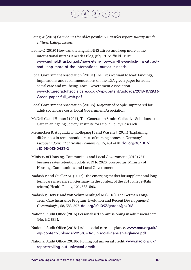Laing W (2018) *Care homes for older people: UK market report: twenty-ninth edition*. LaingBuisson.

- Leone C (2019) How can the English NHS attract and keep more of the international nurses it needs? Blog, July 19. Nuffield Trust. [www.nuffieldtrust.org.uk/news-item/how-can-the-english-nhs-attract](https://www.nuffieldtrust.org.uk/news-item/how-can-the-english-nhs-attract-and-keep-more-of-the-international-nurses-it-needs)[and-keep-more-of-the-international-nurses-it-needs](https://www.nuffieldtrust.org.uk/news-item/how-can-the-english-nhs-attract-and-keep-more-of-the-international-nurses-it-needs).
- Local Government Association (2018a) The lives we want to lead: Findings, implications and recommendations on the LGA green paper for adult social care and wellbeing. Local Government Association. [www.futureofadultsocialcare.co.uk/wp-content/uploads/2018/11/29.13-](http://www.futureofadultsocialcare.co.uk/wp-content/uploads/2018/11/29.13-Green-paper-full_web.pdf) [Green-paper-full\\_web.pdf](http://www.futureofadultsocialcare.co.uk/wp-content/uploads/2018/11/29.13-Green-paper-full_web.pdf)
- Local Government Association (2018b). Majority of people unprepared for adult social care costs. Local Government Association.
- McNeil C and Hunter J (2014) The Generation Strain: Collective Solutions to Care in an Ageing Society. Institute for Public Policy Research.
- Mennicken R, Augurzky B, Rothgang H and Wasem J (2014) 'Explaining differences in remuneration rates of nursing homes in Germany'. *European Journal of Health Economics*, 15, 401–410. [doi.org/10.1007/](https://doi.org/10.1007/s10198-013-0483-2) [s10198-013-0483-2](https://doi.org/10.1007/s10198-013-0483-2)
- Ministry of Housing, Communities and Local Government (2018) 75% business rates retention pilots 2019 to 2020: prospectus. Ministry of Housing, Communities and Local Government.
- Nadash P and Cuellar AE (2017) 'The emerging market for supplemental long term care insurance in Germany in the context of the 2013 Pflege-Bahr reform', Health Policy, 121, 588–593.
- Nadash P, Doty P and von Schwanenflügel M (2018) 'The German Long-Term Care Insurance Program: Evolution and Recent Developments', *Gerontologist*, 58, 588–597. [doi.org/10.1093/geront/gnx018](https://doi.org/10.1093/geront/gnx018)
- National Audit Office (2016) Personalised commissioning in adult social care (No. HC 883).
- National Audit Office (2018a) Adult social care at a glance. [www.nao.org.uk/](http://www.nao.org.uk/wp-content/uploads/2018/07/Adult-social-care-at-a-glance.pdf) [wp-content/uploads/2018/07/Adult-social-care-at-a-glance.pdf](http://www.nao.org.uk/wp-content/uploads/2018/07/Adult-social-care-at-a-glance.pdf)
- National Audit Office (2018b) Rolling out universal credit. [www.nao.org.uk/](http://www.nao.org.uk/report/rolling-out-universal-credit/) [report/rolling-out-universal-credit](http://www.nao.org.uk/report/rolling-out-universal-credit/)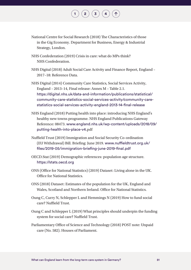National Centre for Social Research (2018) The Characteristics of those in the Gig Economy. Department for Business, Energy & Industrial Strategy, London.

 $\left( \begin{array}{c} 2 \end{array} \right) \left( \begin{array}{c} 3 \end{array} \right) \left( \begin{array}{c} 4 \end{array} \right)$  $\left( \begin{array}{c} 2 \end{array} \right) \left( \begin{array}{c} 3 \end{array} \right) \left( \begin{array}{c} 4 \end{array} \right)$  $\left( \begin{array}{c} 2 \end{array} \right) \left( \begin{array}{c} 3 \end{array} \right) \left( \begin{array}{c} 4 \end{array} \right)$  $\left( \begin{array}{c} 2 \end{array} \right) \left( \begin{array}{c} 3 \end{array} \right) \left( \begin{array}{c} 4 \end{array} \right)$  $\left( \begin{array}{c} 2 \end{array} \right) \left( \begin{array}{c} 3 \end{array} \right) \left( \begin{array}{c} 4 \end{array} \right)$  $\left( \begin{array}{c} 2 \end{array} \right) \left( \begin{array}{c} 3 \end{array} \right) \left( \begin{array}{c} 4 \end{array} \right)$  $\left( \begin{array}{c} 2 \end{array} \right) \left( \begin{array}{c} 3 \end{array} \right) \left( \begin{array}{c} 4 \end{array} \right)$ 

- NHS Confederation (2019) Crisis in care: what do MPs think? NHS Confederation.
- NHS Digital (2018) Adult Social Care Activity and Finance Report, England 2017–18: Reference Data.

NHS Digital (2014) Community Care Statistics, Social Services Activity, England – 2013–14, Final release: Annex M – Table 2.1. [https://digital.nhs.uk/data-and-information/publications/statistical/](https://digital.nhs.uk/data-and-information/publications/statistical/community-care-statistics-social-services-activity/community-care-statistics-social-services-activity-england-2013-14-final-release) [community-care-statistics-social-services-activity/community-care](https://digital.nhs.uk/data-and-information/publications/statistical/community-care-statistics-social-services-activity/community-care-statistics-social-services-activity-england-2013-14-final-release)[statistics-social-services-activity-england-2013-14-final-release](https://digital.nhs.uk/data-and-information/publications/statistical/community-care-statistics-social-services-activity/community-care-statistics-social-services-activity-england-2013-14-final-release)

- NHS England (2018) Putting health into place: introducing NHS England's healthy new towns programme. NHS England Publications Gateway Reference: 08473. [www.england.nhs.uk/wp-content/uploads/2018/09/](http://www.england.nhs.uk/wp-content/uploads/2018/09/putting-health-into-place-v4.pdf) [putting-health-into-place-v4.](http://www.england.nhs.uk/wp-content/uploads/2018/09/putting-health-into-place-v4.pdf)pdf
- Nuffield Trust (2019) Immigration and Social Security Co-ordination (EU Withdrawal) Bill. Briefing: June 2019. [www.nuffieldtrust.org.uk/](https://www.nuffieldtrust.org.uk/files/2019-05/immigration-briefing-june-2019-final.pdf) [files/2019-05/immigration-briefing-june-2019-final.pdf](https://www.nuffieldtrust.org.uk/files/2019-05/immigration-briefing-june-2019-final.pdf)
- OECD.Stat (2019) Demographic references: population age structure. https://stats.oecd.org
- ONS (Office for National Statistics) (2019) Dataset: Living alone in the UK. Office for National Statistics.
- ONS (2018) Dataset: Estimates of the population for the UK, England and Wales, Scotland and Northern Ireland. Office for National Statistics.
- Oung C, Curry N, Schlepper L and Hemmings N (2019) How to fund social care? Nuffield Trust.
- Oung C and Schlepper L (2019) What principles should underpin the funding system for social care? Nuffield Trust.
- Parliamentary Office of Science and Technology (2018) POST note: Unpaid care (No. 582). Houses of Parliament.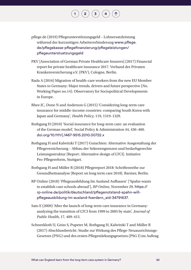- pflege.de (2019) Pflegeunterstützungsgeld Lohnersatzleistung während der kurzzeitigen Arbeitsverhinderung [www.pflege.](http://www.pflege.de/pflegekasse-pflegefinanzierung/pflegeleistungen/pflegeunterstuetzungsgeld/) [de/pflegekasse-pflegefinanzierung/pflegeleistungen/](http://www.pflege.de/pflegekasse-pflegefinanzierung/pflegeleistungen/pflegeunterstuetzungsgeld/) [pflegeunterstuetzungsgeld](http://www.pflege.de/pflegekasse-pflegefinanzierung/pflegeleistungen/pflegeunterstuetzungsgeld/)
- PKV [Association of German Private Healthcare Insurers] (2017) Financial report for private healthcare insurance 2017. Verband der Privaten Krankenversicherung e.V. (PKV), Cologne, Berlin.

- Rada A (2016) Migration of health-care workers from the new EU Member States to Germany: Major trends, drivers and future perspective (No. Working Paper no.14). Observatory for Sociopolitical Developments in Europe.
- Rhee JC, Done N and Anderson G (2015) 'Considering long-term care insurance for middle-income countries: comparing South Korea with Japan and Germany', *Health Policy*, 119, 1319–1329.
- Rothgang H (2010) 'Social insurance for long-term care: an evaluation of the German model', Social Policy & Administration 44, 436–460. [doi.org/10.1111/j.1467-9515.2010.00722.x](https://doi.org/10.1111/j.1467-9515.2010.00722.x)
- Rothgang H and Kalwitzki T (2017) Gutachten: Alternative Ausgestaltung der Pflegeversicherung – Abbau der Sektorengrenzen und bedarfsgerechte Leistungsstruktur [Report: Alternative design of LTCI]. Initiative Pro-Pflegereform, Stuttgart.
- Rothgang H and Müller R (2018) Pflegereport 2018: Schriftenreihe zur Gesundheitsanalyse [Report on long term care 2018]. Barmer, Berlin.
- RP Online (2018) 'Pflegeausbildung Im Ausland Aufbauen' ['Spahn wants to establish care schools abroad'], *RP Online*, November 29. [https://](https://rp-online.de/politik/deutschland/pflegenotstand-spahn-will-pflegeausbildung-im-ausland-foerdern_aid-34791637) [rp-online.de/politik/deutschland/pflegenotstand-spahn-will](https://rp-online.de/politik/deutschland/pflegenotstand-spahn-will-pflegeausbildung-im-ausland-foerdern_aid-34791637)[pflegeausbildung-im-ausland-foerdern\\_aid-34791637](https://rp-online.de/politik/deutschland/pflegenotstand-spahn-will-pflegeausbildung-im-ausland-foerdern_aid-34791637).
- Sato E (2009) 'After the launch of long-term care insurance in Germany: analyzing the transition of LTCI from 1999 to 2005 by state', *Journal of Public Health*, 17, 409–415.
- Schneekloth U, Geiss S, Pupeter M, Rothgang H, Kalwitzki T and Müller R (2017) Abschlussbericht: Studie zur Wirkung des Pflege-Neuausrichtungs-Gesetzes (PNG) und des ersten Pflegestärkungsgesetzes (PSG I) im Auftrag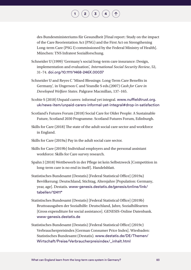des Bundesministeriums für Gesundheit [Final report: Study on the impact of the Care Reorientation Act (PNG) and the First Act on Strengthening Long-term Care (PSG I) commissioned by the Federal Ministry of Health]. München: TNS Infratest Sozialforschung.

- Schneider U (1999) 'Germany's social long-term care insurance: Design, implementation and evaluation', *International Social Security Review*, 52, 31–74. [doi.org/10.1111/1468-246X.00037](https://doi.org/10.1111/1468-246X.00037)
- Schneider U and Reyes C 'Mixed Blessings: Long-Term Care Benefits in Germany', in Ungerson C and Yeandle S eds.(2007) *Cash for Care in Developed Welfare States*. Palgrave Macmillan, 137–165.
- Scobie S (2018) Unpaid carers: informal yet integral. www.nuffieldtrust.org. uk/news-item/unpaid-carers-informal-yet-integral#drop-in-satisfaction
- Scotland's Futures Forum (2018) Social Care for Older People: A Sustainable Future, Scotland 2030 Programme. Scotland Futures Forum, Edinburgh.
- Skills for Care (2018) The state of the adult social care sector and workforce in England.
- Skills for Care (2019a) Pay in the adult social care sector.
- Skills for Care (2019b) Individual employers and the personal assistant workforce: Skills for Care survey research.
- Spahn J (2018) Wettbewerb in der Pflege ist kein Selbstzweck [Competition in long-term care is no end in itself]. Handelsblatt.
- Statistisches Bundesamt (Destatis) [Federal Statistical Office] (2019a) Bevölkerung: Deutschland, Stichtag, Altersjahre [Population: Germany, year, age]. Destatis. [www-genesis.destatis.de/genesis/online/link/](http://www-genesis.destatis.de/genesis/online/link/tabellen/12411*) [tabellen/12411\\*](http://www-genesis.destatis.de/genesis/online/link/tabellen/12411*)
- Statistisches Bundesamt (Destatis) [Federal Statistical Office] (2019b) Bruttoausgaben der Sozialhilfe: Deutschland, Jahre, Sozialhilfearten [Gross expenditure for social assistance]. GENESIS-Online Datenbank. [www-genesis.destatis.de](https://www-genesis.destatis.de/)
- Statistisches Bundesamt (Destatis) [Federal Statistical Office] (2019c) Verbraucherpreisindex [German Consumer Price Index]. Wiesbaden: Statistisches Bundesamt (Destatis). [www.destatis.de/DE/Themen/](http://www.destatis.de/DE/Themen/Wirtschaft/Preise/Verbraucherpreisindex/_inhalt.html) [Wirtschaft/Preise/Verbraucherpreisindex/\\_inhalt.html](http://www.destatis.de/DE/Themen/Wirtschaft/Preise/Verbraucherpreisindex/_inhalt.html)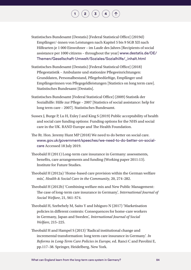Statistisches Bundesamt (Destatis) [Federal Statistical Office] (2019d) Empfänger/-innen von Leistungen nach Kapitel 5 bis 9 SGB XII nach Hilfearten je 1 000 Einwohner – im Laufe des Jahres [Recipients of social assistance per 1000 citizens – throughout the year] [www.destatis.de/DE/](http://www.destatis.de/DE/Themen/Gesellschaft-Umwelt/Soziales/Sozialhilfe/_inhalt.html) [Themen/Gesellschaft-Umwelt/Soziales/Sozialhilfe/\\_inhalt.html](http://www.destatis.de/DE/Themen/Gesellschaft-Umwelt/Soziales/Sozialhilfe/_inhalt.html)

- Statistisches Bundesamt (Destatis) [Federal Statistical Office] (2018) Pflegestatistik – Ambulante und stationäre Pflegeeinrichtungen: Grunddaten, Personalbestand, Pflegebedürftige, Empfänger und Empfängerinnen von Pflegegeldleistungen [Statistics on long term care]. Statistisches Bundesamt [Destatis].
- Statistisches Bundesamt [Federal Statistical Office] (2009) Statistik der Sozialhilfe: Hilfe zur Pflege – 2007 [Statistics of social assistance: help for long term care – 2007]. Statistisches Bundesamt.
- Sussex J, Burge P, Lu H, Exley J and King S (2019) Public acceptability of health and social care funding options: Funding options for the NHS and social care in the UK. RAND Europe and The Health Foundation.
- The Rt. Hon. Jeremy Hunt MP (2018) We need to do better on social care. [www.gov.uk/government/speeches/we-need-to-do-better-on-social](http://www.gov.uk/government/speeches/we-need-to-do-better-on-social-care)[care](http://www.gov.uk/government/speeches/we-need-to-do-better-on-social-care) Accessed 18 July 2019.
- Theobald H (2011) Long-term care insurance in Germany: assessments, benefits, care arrangements and funding (Working paper 2011:13). Institute for Future Studies.
- Theobald H (2012a) 'Home-based care provision within the German welfare mix', *Health & Social Care in the Community*, 20, 274–282.
- Theobald H (2012b) 'Combining welfare mix and New Public Management: The case of long-term care insurance in Germany', *International Journal of Social Welfare*, 21, S61–S74.
- Theobald H, Szebehely M, Saito Y and Ishiguro N (2017) 'Marketisation policies in different contexts: Consequences for home-care workers in Germany, Japan and Sweden', *International Journal of Social Welfare*, 215–225.
- Theobald H and Hampel S (2013) 'Radical institutional change and incremental transformation: long term care insurance in Germany'. *In Reforms in Long-Term Care Policies in Europe*, ed. Ranci C and Pavolini E, pp.117–38. Springer, Heidelberg, New York.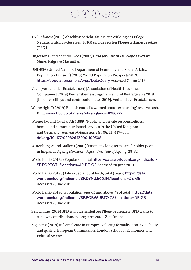TNS Infratest (2017) Abschlussbericht: Studie zur Wirkung des Pflege-Neuausrichtungs-Gesetzes (PNG) und des ersten Pflegestärkungsgesetzes (PSG I).

- Ungerson C and Yeandle S eds (2007) *Cash for Care in Developed Welfare States*. Palgrave Macmillan.
- UNDESA (United Nations, Department of Economic and Social Affairs, Population Division) (2019) World Population Prospects 2019. [https://population.un.org/wpp/DataQuery](https://population.un.org/wpp/DataQuery/) Accessed 7 June 2019.
- Vdek (Verband der Ersatzkassen) [Association of Health Insurance Companies] (2019) Beitragsbemessungsgrenzen und Beitragssätze 2019 [Income ceilings and contribution rates 2019]. Verband der Ersatzkassen.
- Wainwright D (2019) English councils warned about 'exhausting' reserve cash. BBC. [www.bbc.co.uk/news/uk-england-48280272](http://www.bbc.co.uk/news/uk-england-48280272)
- Wiener JM and Cuellar AE (1999) 'Public and private responsibilities: home- and community-based services in the United Kingdom and Germany', *Journal of Aging and Health*, 11, 417–444. [doi.org/10.1177/089826439901100308](https://doi.org/10.1177/089826439901100308)
- Wittenberg W and Malley J (2007) 'Financing long-term care for older people in England', *Ageing Horizons, Oxford Institute of Ageing*, 28–32.
- World Bank (2019a) Population, total [https://data.worldbank.org/indicator/](https://data.worldbank.org/indicator/SP.POP.TOTL?locations=JP-DE-GB) [SP.POP.TOTL?locations=JP-DE-GB](https://data.worldbank.org/indicator/SP.POP.TOTL?locations=JP-DE-GB) Accessed 20 June 2019.
- World Bank (2019b) Life expectancy at birth, total (years) [https://data.](https://data.worldbank.org/indicator/SP.DYN.LE00.IN?locations=DE-GB) [worldbank.org/indicator/SP.DYN.LE00.IN?locations=DE-GB](https://data.worldbank.org/indicator/SP.DYN.LE00.IN?locations=DE-GB) Accessed 7 June 2019.
- World Bank (2019c) Population ages 65 and above (% of total) [https://data.](https://data.worldbank.org/indicator/SP.POP.65UP.TO.ZS?locations=DE-GB) [worldbank.org/indicator/SP.POP.65UP.TO.ZS?locations=DE-GB](https://data.worldbank.org/indicator/SP.POP.65UP.TO.ZS?locations=DE-GB) Accessed 7 June 2019.
- Zeit Online (2019) SPD will Eigenanteil bei Pflege begrenzen [SPD wants to cap own contributions to long term care]. Zeit Online.
- Zigante V (2018) Informal care in Europe: exploring formalisation, availability and quality. European Commission, London School of Economics and Political Science.